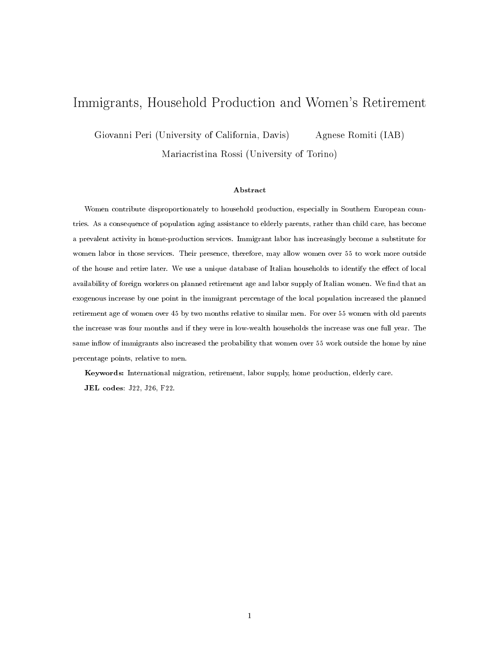# Immigrants, Household Production and Women's Retirement

Giovanni Peri (University of California, Davis) Agnese Romiti (IAB)

Mariacristina Rossi (University of Torino)

#### Abstract

Women contribute disproportionately to household production, especially in Southern European countries. As a consequence of population aging assistance to elderly parents, rather than child care, has become a prevalent activity in home-production services. Immigrant labor has increasingly become a substitute for women labor in those services. Their presence, therefore, may allow women over 55 to work more outside of the house and retire later. We use a unique database of Italian households to identify the effect of local availability of foreign workers on planned retirement age and labor supply of Italian women. We find that an exogenous increase by one point in the immigrant percentage of the local population increased the planned retirement age of women over 45 by two months relative to similar men. For over 55 women with old parents the increase was four months and if they were in low-wealth households the increase was one full year. The same inflow of immigrants also increased the probability that women over 55 work outside the home by nine percentage points, relative to men.

Keywords: International migration, retirement, labor supply, home production, elderly care. JEL codes: J22, J26, F22.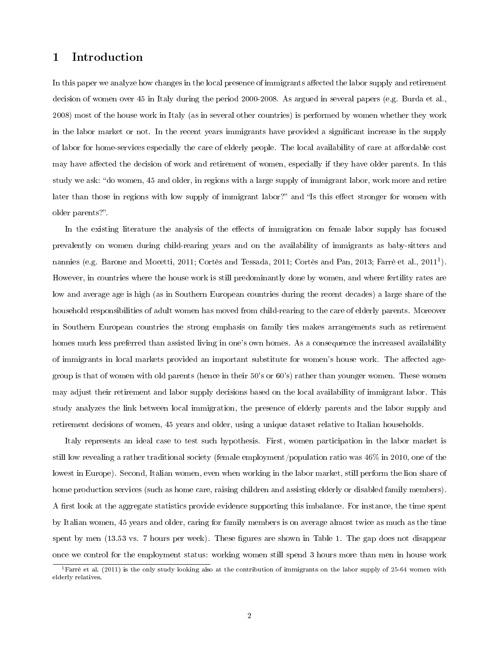## 1 Introduction

In this paper we analyze how changes in the local presence of immigrants affected the labor supply and retirement decision of women over 45 in Italy during the period 2000-2008. As argued in several papers (e.g. Burda et al., 2008) most of the house work in Italy (as in several other countries) is performed by women whether they work in the labor market or not. In the recent years immigrants have provided a significant increase in the supply of labor for home-services especially the care of elderly people. The local availability of care at affordable cost may have affected the decision of work and retirement of women, especially if they have older parents. In this study we ask: do women, 45 and older, in regions with a large supply of immigrant labor, work more and retire later than those in regions with low supply of immigrant labor?" and "Is this effect stronger for women with older parents?".

In the existing literature the analysis of the effects of immigration on female labor supply has focused prevalently on women during child-rearing years and on the availability of immigrants as baby-sitters and nannies (e.g. Barone and Mocetti, 2011; Cortès and Tessada, 2011; Cortès and Pan, 2013; Farrè et al., 2011<sup>1</sup>). However, in countries where the house work is still predominantly done by women, and where fertility rates are low and average age is high (as in Southern European countries during the recent decades) a large share of the household responsibilities of adult women has moved from child-rearing to the care of elderly parents. Moreover in Southern European countries the strong emphasis on family ties makes arrangements such as retirement homes much less preferred than assisted living in one's own homes. As a consequence the increased availability of immigrants in local markets provided an important substitute for women's house work. The affected agegroup is that of women with old parents (hence in their 50's or 60's) rather than younger women. These women may adjust their retirement and labor supply decisions based on the local availability of immigrant labor. This study analyzes the link between local immigration, the presence of elderly parents and the labor supply and retirement decisions of women, 45 years and older, using a unique dataset relative to Italian households.

Italy represents an ideal case to test such hypothesis. First, women participation in the labor market is still low revealing a rather traditional society (female employment/population ratio was 46% in 2010, one of the lowest in Europe). Second, Italian women, even when working in the labor market, still perform the lion share of home production services (such as home care, raising children and assisting elderly or disabled family members). A first look at the aggregate statistics provide evidence supporting this imbalance. For instance, the time spent by Italian women, 45 years and older, caring for family members is on average almost twice as much as the time spent by men (13.53 vs. 7 hours per week). These figures are shown in Table 1. The gap does not disappear once we control for the employment status: working women still spend 3 hours more than men in house work

<sup>&</sup>lt;sup>1</sup>Farrè et al. (2011) is the only study looking also at the contribution of immigrants on the labor supply of 25-64 women with elderly relatives.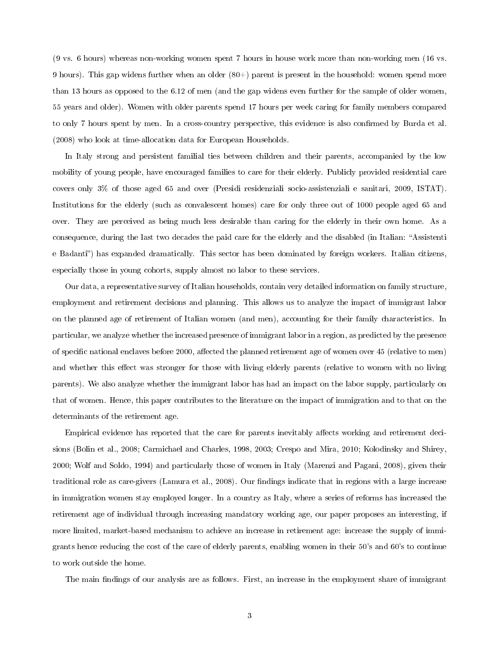(9 vs. 6 hours) whereas non-working women spent 7 hours in house work more than non-working men (16 vs. 9 hours). This gap widens further when an older (80+) parent is present in the household: women spend more than 13 hours as opposed to the 6.12 of men (and the gap widens even further for the sample of older women, 55 years and older). Women with older parents spend 17 hours per week caring for family members compared to only 7 hours spent by men. In a cross-country perspective, this evidence is also confirmed by Burda et al. (2008) who look at time-allocation data for European Households.

In Italy strong and persistent familial ties between children and their parents, accompanied by the low mobility of young people, have encouraged families to care for their elderly. Publicly provided residential care covers only 3% of those aged 65 and over (Presidi residenziali socio-assistenziali e sanitari, 2009, ISTAT). Institutions for the elderly (such as convalescent homes) care for only three out of 1000 people aged 65 and over. They are perceived as being much less desirable than caring for the elderly in their own home. As a consequence, during the last two decades the paid care for the elderly and the disabled (in Italian: "Assistenti e Badanti) has expanded dramatically. This sector has been dominated by foreign workers. Italian citizens, especially those in young cohorts, supply almost no labor to these services.

Our data, a representative survey of Italian households, contain very detailed information on family structure, employment and retirement decisions and planning. This allows us to analyze the impact of immigrant labor on the planned age of retirement of Italian women (and men), accounting for their family characteristics. In particular, we analyze whether the increased presence of immigrant labor in a region, as predicted by the presence of specific national enclaves before 2000, affected the planned retirement age of women over 45 (relative to men) and whether this effect was stronger for those with living elderly parents (relative to women with no living parents). We also analyze whether the immigrant labor has had an impact on the labor supply, particularly on that of women. Hence, this paper contributes to the literature on the impact of immigration and to that on the determinants of the retirement age.

Empirical evidence has reported that the care for parents inevitably affects working and retirement decisions (Bolin et al., 2008; Carmichael and Charles, 1998, 2003; Crespo and Mira, 2010; Kolodinsky and Shirey, 2000; Wolf and Soldo, 1994) and particularly those of women in Italy (Marenzi and Pagani, 2008), given their traditional role as care-givers (Lamura et al., 2008). Our findings indicate that in regions with a large increase in immigration women stay employed longer. In a country as Italy, where a series of reforms has increased the retirement age of individual through increasing mandatory working age, our paper proposes an interesting, if more limited, market-based mechanism to achieve an increase in retirement age: increase the supply of immigrants hence reducing the cost of the care of elderly parents, enabling women in their 50's and 60's to continue to work outside the home.

The main findings of our analysis are as follows. First, an increase in the employment share of immigrant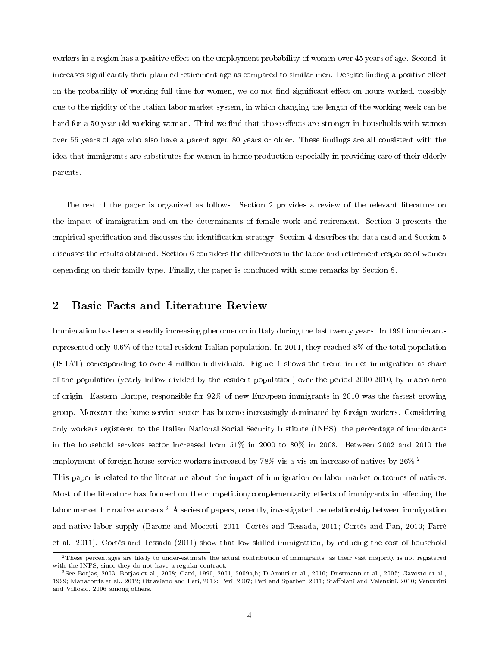workers in a region has a positive effect on the employment probability of women over 45 years of age. Second, it increases significantly their planned retirement age as compared to similar men. Despite finding a positive effect on the probability of working full time for women, we do not find significant effect on hours worked, possibly due to the rigidity of the Italian labor market system, in which changing the length of the working week can be hard for a 50 year old working woman. Third we find that those effects are stronger in households with women over 55 years of age who also have a parent aged 80 years or older. These findings are all consistent with the idea that immigrants are substitutes for women in home-production especially in providing care of their elderly parents.

The rest of the paper is organized as follows. Section 2 provides a review of the relevant literature on the impact of immigration and on the determinants of female work and retirement. Section 3 presents the empirical specification and discusses the identification strategy. Section 4 describes the data used and Section 5 discusses the results obtained. Section 6 considers the differences in the labor and retirement response of women depending on their family type. Finally, the paper is concluded with some remarks by Section 8.

## 2 Basic Facts and Literature Review

Immigration has been a steadily increasing phenomenon in Italy during the last twenty years. In 1991 immigrants represented only 0.6% of the total resident Italian population. In 2011, they reached 8% of the total population (ISTAT) corresponding to over 4 million individuals. Figure 1 shows the trend in net immigration as share of the population (yearly inflow divided by the resident population) over the period 2000-2010, by macro-area of origin. Eastern Europe, responsible for 92% of new European immigrants in 2010 was the fastest growing group. Moreover the home-service sector has become increasingly dominated by foreign workers. Considering only workers registered to the Italian National Social Security Institute (INPS), the percentage of immigrants in the household services sector increased from 51% in 2000 to 80% in 2008. Between 2002 and 2010 the employment of foreign house-service workers increased by 78% vis-a-vis an increase of natives by 26%.<sup>2</sup>

This paper is related to the literature about the impact of immigration on labor market outcomes of natives. Most of the literature has focused on the competition/complementarity effects of immigrants in affecting the labor market for native workers.<sup>3</sup> A series of papers, recently, investigated the relationship between immigration and native labor supply (Barone and Mocetti, 2011; Cortès and Tessada, 2011; Cortès and Pan, 2013; Farrè et al., 2011). Cortès and Tessada (2011) show that low-skilled immigration, by reducing the cost of household

 $2$ These percentages are likely to under-estimate the actual contribution of immigrants, as their vast majority is not registered with the INPS, since they do not have a regular contract.

<sup>3</sup>See Borjas, 2003; Borjas et al., 2008; Card, 1990, 2001, 2009a,b; D'Amuri et al., 2010; Dustmann et al., 2005; Gavosto et al., 1999; Manacorda et al., 2012; Ottaviano and Peri, 2012; Peri, 2007; Peri and Sparber, 2011; Staffolani and Valentini, 2010; Venturini and Villosio, 2006 among others.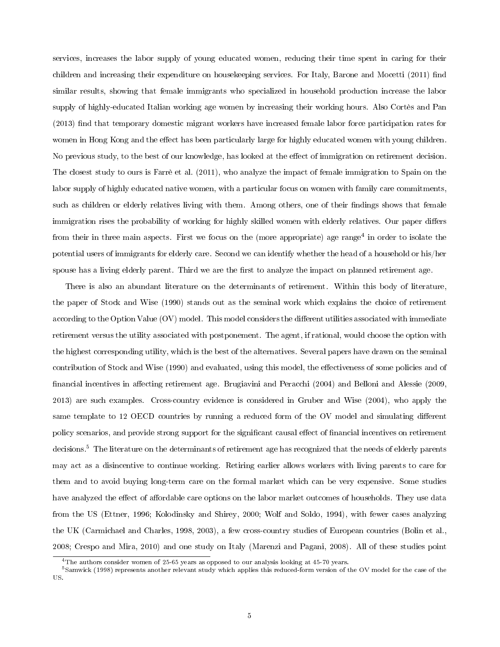services, increases the labor supply of young educated women, reducing their time spent in caring for their children and increasing their expenditure on housekeeping services. For Italy, Barone and Mocetti (2011) find similar results, showing that female immigrants who specialized in household production increase the labor supply of highly-educated Italian working age women by increasing their working hours. Also Cortès and Pan (2013) find that temporary domestic migrant workers have increased female labor force participation rates for women in Hong Kong and the effect has been particularly large for highly educated women with young children. No previous study, to the best of our knowledge, has looked at the effect of immigration on retirement decision. The closest study to ours is Farrè et al. (2011), who analyze the impact of female immigration to Spain on the labor supply of highly educated native women, with a particular focus on women with family care commitments, such as children or elderly relatives living with them. Among others, one of their findings shows that female immigration rises the probability of working for highly skilled women with elderly relatives. Our paper differs from their in three main aspects. First we focus on the (more appropriate) age range<sup>4</sup> in order to isolate the potential users of immigrants for elderly care. Second we can identify whether the head of a household or his/her spouse has a living elderly parent. Third we are the first to analyze the impact on planned retirement age.

There is also an abundant literature on the determinants of retirement. Within this body of literature, the paper of Stock and Wise (1990) stands out as the seminal work which explains the choice of retirement according to the Option Value  $(OV)$  model. This model considers the different utilities associated with immediate retirement versus the utility associated with postponement. The agent, if rational, would choose the option with the highest corresponding utility, which is the best of the alternatives. Several papers have drawn on the seminal contribution of Stock and Wise (1990) and evaluated, using this model, the effectiveness of some policies and of financial incentives in affecting retirement age. Brugiavini and Peracchi (2004) and Belloni and Alessie (2009, 2013) are such examples. Cross-country evidence is considered in Gruber and Wise (2004), who apply the same template to 12 OECD countries by running a reduced form of the OV model and simulating different policy scenarios, and provide strong support for the significant causal effect of financial incentives on retirement decisions.<sup>5</sup> The literature on the determinants of retirement age has recognized that the needs of elderly parents may act as a disincentive to continue working. Retiring earlier allows workers with living parents to care for them and to avoid buying long-term care on the formal market which can be very expensive. Some studies have analyzed the effect of affordable care options on the labor market outcomes of households. They use data from the US (Ettner, 1996; Kolodinsky and Shirey, 2000; Wolf and Soldo, 1994), with fewer cases analyzing the UK (Carmichael and Charles, 1998, 2003), a few cross-country studies of European countries (Bolin et al., 2008; Crespo and Mira, 2010) and one study on Italy (Marenzi and Pagani, 2008). All of these studies point

<sup>&</sup>lt;sup>4</sup>The authors consider women of 25-65 years as opposed to our analysis looking at 45-70 years.

<sup>5</sup>Samwick (1998) represents another relevant study which applies this reduced-form version of the OV model for the case of the US.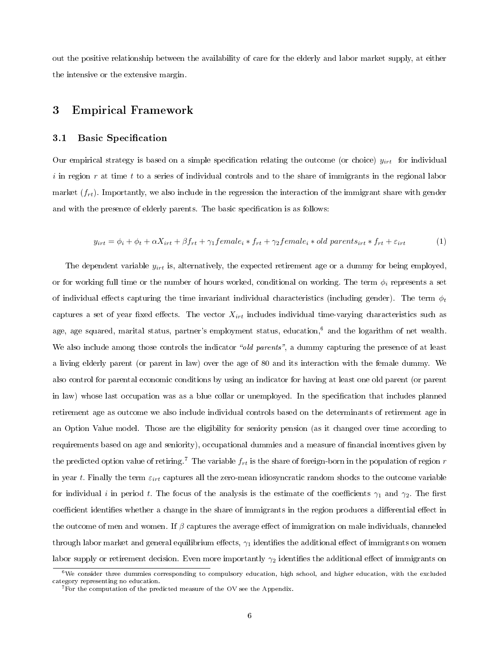out the positive relationship between the availability of care for the elderly and labor market supply, at either the intensive or the extensive margin.

### 3 Empirical Framework

#### 3.1 Basic Specification

Our empirical strategy is based on a simple specification relating the outcome (or choice)  $y_{irt}$  for individual i in region r at time t to a series of individual controls and to the share of immigrants in the regional labor market  $(f_{rt})$ . Importantly, we also include in the regression the interaction of the immigrant share with gender and with the presence of elderly parents. The basic specification is as follows:

$$
y_{irt} = \phi_i + \phi_t + \alpha X_{irt} + \beta f_{rt} + \gamma_1 female_i * f_{rt} + \gamma_2 female_i * old parents_{irt} * f_{rt} + \varepsilon_{irt}
$$
 (1)

The dependent variable  $y_{irt}$  is, alternatively, the expected retirement age or a dummy for being employed, or for working full time or the number of hours worked, conditional on working. The term  $\phi_i$  represents a set of individual effects capturing the time invariant individual characteristics (including gender). The term  $\phi_t$ captures a set of year fixed effects. The vector  $X_{irt}$  includes individual time-varying characteristics such as age, age squared, marital status, partner's employment status, education,<sup>6</sup> and the logarithm of net wealth. We also include among those controls the indicator "old parents", a dummy capturing the presence of at least a living elderly parent (or parent in law) over the age of 80 and its interaction with the female dummy. We also control for parental economic conditions by using an indicator for having at least one old parent (or parent in law) whose last occupation was as a blue collar or unemployed. In the specification that includes planned retirement age as outcome we also include individual controls based on the determinants of retirement age in an Option Value model. Those are the eligibility for seniority pension (as it changed over time according to requirements based on age and seniority), occupational dummies and a measure of financial incentives given by the predicted option value of retiring.<sup>7</sup> The variable  $f_{rt}$  is the share of foreign-born in the population of region r in year t. Finally the term  $\varepsilon_{irt}$  captures all the zero-mean idiosyncratic random shocks to the outcome variable for individual i in period t. The focus of the analysis is the estimate of the coefficients  $\gamma_1$  and  $\gamma_2$ . The first coefficient identifies whether a change in the share of immigrants in the region produces a differential effect in the outcome of men and women. If  $\beta$  captures the average effect of immigration on male individuals, channeled through labor market and general equilibrium effects,  $\gamma_1$  identifies the additional effect of immigrants on women labor supply or retirement decision. Even more importantly  $\gamma_2$  identifies the additional effect of immigrants on

 $6$ We consider three dummies corresponding to compulsory education, high school, and higher education, with the excluded category representing no education.

<sup>&</sup>lt;sup>7</sup>For the computation of the predicted measure of the OV see the Appendix.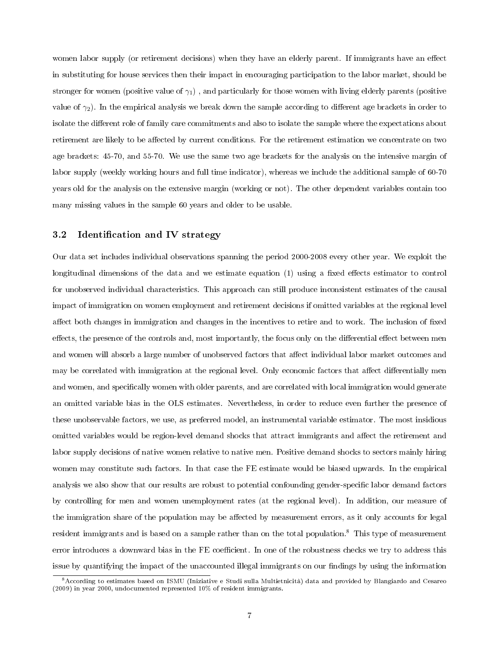women labor supply (or retirement decisions) when they have an elderly parent. If immigrants have an effect in substituting for house services then their impact in encouraging participation to the labor market, should be stronger for women (positive value of  $\gamma_1$ ), and particularly for those women with living elderly parents (positive value of  $\gamma_2$ ). In the empirical analysis we break down the sample according to different age brackets in order to isolate the different role of family care commitments and also to isolate the sample where the expectations about retirement are likely to be affected by current conditions. For the retirement estimation we concentrate on two age brackets: 45-70, and 55-70. We use the same two age brackets for the analysis on the intensive margin of labor supply (weekly working hours and full time indicator), whereas we include the additional sample of 60-70 years old for the analysis on the extensive margin (working or not). The other dependent variables contain too many missing values in the sample 60 years and older to be usable.

#### 3.2 Identification and IV strategy

Our data set includes individual observations spanning the period 2000-2008 every other year. We exploit the longitudinal dimensions of the data and we estimate equation  $(1)$  using a fixed effects estimator to control for unobserved individual characteristics. This approach can still produce inconsistent estimates of the causal impact of immigration on women employment and retirement decisions if omitted variables at the regional level affect both changes in immigration and changes in the incentives to retire and to work. The inclusion of fixed effects, the presence of the controls and, most importantly, the focus only on the differential effect between men and women will absorb a large number of unobserved factors that affect individual labor market outcomes and may be correlated with immigration at the regional level. Only economic factors that affect differentially men and women, and specifically women with older parents, and are correlated with local immigration would generate an omitted variable bias in the OLS estimates. Nevertheless, in order to reduce even further the presence of these unobservable factors, we use, as preferred model, an instrumental variable estimator. The most insidious omitted variables would be region-level demand shocks that attract immigrants and affect the retirement and labor supply decisions of native women relative to native men. Positive demand shocks to sectors mainly hiring women may constitute such factors. In that case the FE estimate would be biased upwards. In the empirical analysis we also show that our results are robust to potential confounding gender-specific labor demand factors by controlling for men and women unemployment rates (at the regional level). In addition, our measure of the immigration share of the population may be affected by measurement errors, as it only accounts for legal resident immigrants and is based on a sample rather than on the total population.<sup>8</sup> This type of measurement error introduces a downward bias in the FE coefficient. In one of the robustness checks we try to address this issue by quantifying the impact of the unaccounted illegal immigrants on our findings by using the information

<sup>8</sup>According to estimates based on ISMU (Iniziative e Studi sulla Multietnicità) data and provided by Blangiardo and Cesareo (2009) in year 2000, undocumented represented 10% of resident immigrants.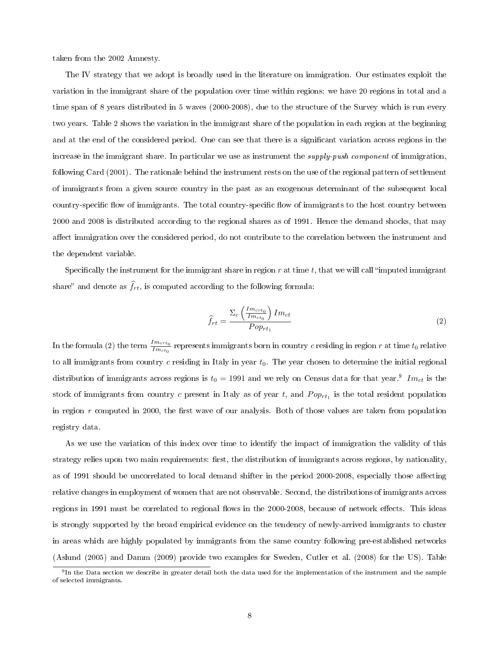taken from the 2002 Amnesty.

The IV strategy that we adopt is broadly used in the literature on immigration. Our estimates exploit the variation in the immigrant share of the population over time within regions: we have 20 regions in total and a time span of 8 years distributed in 5 waves (2000-2008), due to the structure of the Survey which is run every two years. Table 2 shows the variation in the immigrant share of the population in each region at the beginning and at the end of the considered period. One can see that there is a signicant variation across regions in the increase in the immigrant share. In particular we use as instrument the supply-push component of immigration, following Card (2001). The rationale behind the instrument rests on the use of the regional pattern of settlement of immigrants from a given source country in the past as an exogenous determinant of the subsequent local country-specific flow of immigrants. The total country-specific flow of immigrants to the host country between 2000 and 2008 is distributed according to the regional shares as of 1991. Hence the demand shocks, that may affect immigration over the considered period, do not contribute to the correlation between the instrument and the dependent variable.

Specifically the instrument for the immigrant share in region  $r$  at time  $t$ , that we will call "imputed immigrant share" and denote as  $\widehat{f}_{rt}$ , is computed according to the following formula:

$$
\hat{f}_{rt} = \frac{\Sigma_c \left(\frac{Im_{crt_0}}{Im_{ct_0}}\right) Im_{ct}}{Pop_{rt_1}}\tag{2}
$$

In the formula (2) the term  $\frac{Im_{crt_0}}{Im_{ct_0}}$  represents immigrants born in country  $c$  residing in region  $r$  at time  $t_0$  relative to all immigrants from country  $c$  residing in Italy in year  $t_0$ . The year chosen to determine the initial regional distribution of immigrants across regions is  $t_0 = 1991$  and we rely on Census data for that year.<sup>9</sup> Im<sub>ct</sub> is the stock of immigrants from country c present in Italy as of year t, and  $Pop_{rt_1}$  is the total resident population in region  $r$  computed in 2000, the first wave of our analysis. Both of those values are taken from population registry data.

As we use the variation of this index over time to identify the impact of immigration the validity of this strategy relies upon two main requirements: first, the distribution of immigrants across regions, by nationality, as of 1991 should be uncorrelated to local demand shifter in the period 2000-2008, especially those affecting relative changes in employment of women that are not observable. Second, the distributions of immigrants across regions in 1991 must be correlated to regional flows in the 2000-2008, because of network effects. This ideas is strongly supported by the broad empirical evidence on the tendency of newly-arrived immigrants to cluster in areas which are highly populated by immigrants from the same country following pre-established networks (Aslund (2005) and Damm (2009) provide two examples for Sweden, Cutler et al. (2008) for the US). Table

 $^9{\rm In}$  the Data section we describe in greater detail both the data used for the implementation of the instrument and the sample of selected immigrants.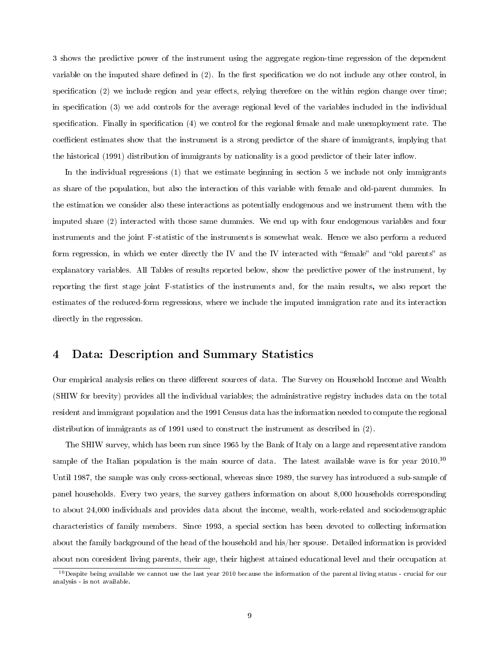3 shows the predictive power of the instrument using the aggregate region-time regression of the dependent variable on the imputed share defined in  $(2)$ . In the first specification we do not include any other control, in specification  $(2)$  we include region and year effects, relying therefore on the within region change over time; in specification (3) we add controls for the average regional level of the variables included in the individual specification. Finally in specification  $(4)$  we control for the regional female and male unemployment rate. The coefficient estimates show that the instrument is a strong predictor of the share of immigrants, implying that the historical (1991) distribution of immigrants by nationality is a good predictor of their later inflow.

In the individual regressions (1) that we estimate beginning in section 5 we include not only immigrants as share of the population, but also the interaction of this variable with female and old-parent dummies. In the estimation we consider also these interactions as potentially endogenous and we instrument them with the imputed share (2) interacted with those same dummies. We end up with four endogenous variables and four instruments and the joint F-statistic of the instruments is somewhat weak. Hence we also perform a reduced form regression, in which we enter directly the IV and the IV interacted with "female" and "old parents" as explanatory variables. All Tables of results reported below, show the predictive power of the instrument, by reporting the first stage joint F-statistics of the instruments and, for the main results, we also report the estimates of the reduced-form regressions, where we include the imputed immigration rate and its interaction directly in the regression.

## 4 Data: Description and Summary Statistics

Our empirical analysis relies on three different sources of data. The Survey on Household Income and Wealth (SHIW for brevity) provides all the individual variables; the administrative registry includes data on the total resident and immigrant population and the 1991 Census data has the information needed to compute the regional distribution of immigrants as of 1991 used to construct the instrument as described in (2).

The SHIW survey, which has been run since 1965 by the Bank of Italy on a large and representative random sample of the Italian population is the main source of data. The latest available wave is for year 2010.<sup>10</sup> Until 1987, the sample was only cross-sectional, whereas since 1989, the survey has introduced a sub-sample of panel households. Every two years, the survey gathers information on about 8,000 households corresponding to about 24,000 individuals and provides data about the income, wealth, work-related and sociodemographic characteristics of family members. Since 1993, a special section has been devoted to collecting information about the family background of the head of the household and his/her spouse. Detailed information is provided about non coresident living parents, their age, their highest attained educational level and their occupation at

 $10$  Despite being available we cannot use the last year 2010 because the information of the parental living status - crucial for our analysis - is not available.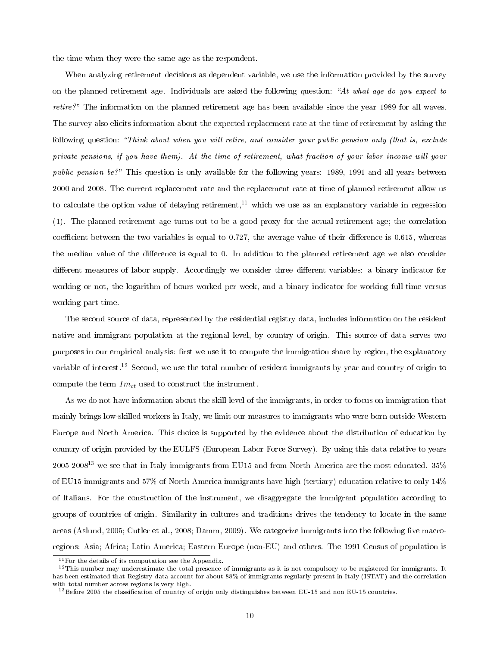the time when they were the same age as the respondent.

When analyzing retirement decisions as dependent variable, we use the information provided by the survey on the planned retirement age. Individuals are asked the following question: "At what age do you expect to retire?" The information on the planned retirement age has been available since the year 1989 for all waves. The survey also elicits information about the expected replacement rate at the time of retirement by asking the following question: "Think about when you will retire, and consider your public pension only (that is, exclude private pensions, if you have them). At the time of retirement, what fraction of your labor income will your public pension be?" This question is only available for the following years: 1989, 1991 and all years between 2000 and 2008. The current replacement rate and the replacement rate at time of planned retirement allow us to calculate the option value of delaying retirement,<sup>11</sup> which we use as an explanatory variable in regression (1). The planned retirement age turns out to be a good proxy for the actual retirement age; the correlation coefficient between the two variables is equal to  $0.727$ , the average value of their difference is  $0.615$ , whereas the median value of the difference is equal to 0. In addition to the planned retirement age we also consider different measures of labor supply. Accordingly we consider three different variables: a binary indicator for working or not, the logarithm of hours worked per week, and a binary indicator for working full-time versus working part-time.

The second source of data, represented by the residential registry data, includes information on the resident native and immigrant population at the regional level, by country of origin. This source of data serves two purposes in our empirical analysis: first we use it to compute the immigration share by region, the explanatory variable of interest.<sup>12</sup> Second, we use the total number of resident immigrants by year and country of origin to compute the term  $Im<sub>ct</sub>$  used to construct the instrument.

As we do not have information about the skill level of the immigrants, in order to focus on immigration that mainly brings low-skilled workers in Italy, we limit our measures to immigrants who were born outside Western Europe and North America. This choice is supported by the evidence about the distribution of education by country of origin provided by the EULFS (European Labor Force Survey). By using this data relative to years  $2005-2008^{13}$  we see that in Italy immigrants from EU15 and from North America are the most educated. 35% of EU15 immigrants and 57% of North America immigrants have high (tertiary) education relative to only 14% of Italians. For the construction of the instrument, we disaggregate the immigrant population according to groups of countries of origin. Similarity in cultures and traditions drives the tendency to locate in the same areas (Aslund, 2005; Cutler et al., 2008; Damm, 2009). We categorize immigrants into the following five macroregions: Asia; Africa; Latin America; Eastern Europe (non-EU) and others. The 1991 Census of population is

<sup>11</sup>For the details of its computation see the Appendix.

<sup>&</sup>lt;sup>12</sup>This number may underestimate the total presence of immigrants as it is not compulsory to be registered for immigrants. It has been estimated that Registry data account for about 88% of immigrants regularly present in Italy (ISTAT) and the correlation with total number across regions is very high.

<sup>&</sup>lt;sup>13</sup> Before 2005 the classification of country of origin only distinguishes between EU-15 and non EU-15 countries.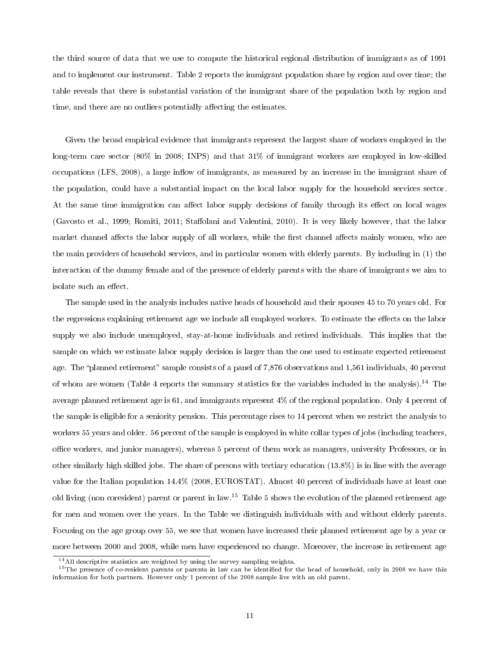the third source of data that we use to compute the historical regional distribution of immigrants as of 1991 and to implement our instrument. Table 2 reports the immigrant population share by region and over time; the table reveals that there is substantial variation of the immigrant share of the population both by region and time, and there are no outliers potentially affecting the estimates.

Given the broad empirical evidence that immigrants represent the largest share of workers employed in the long-term care sector (80% in 2008; INPS) and that 31% of immigrant workers are employed in low-skilled occupations (LFS, 2008), a large inflow of immigrants, as measured by an increase in the immigrant share of the population, could have a substantial impact on the local labor supply for the household services sector. At the same time immigration can affect labor supply decisions of family through its effect on local wages (Gavosto et al., 1999; Romiti, 2011; Staffolani and Valentini, 2010). It is very likely however, that the labor market channel affects the labor supply of all workers, while the first channel affects mainly women, who are the main providers of household services, and in particular women with elderly parents. By including in (1) the interaction of the dummy female and of the presence of elderly parents with the share of immigrants we aim to isolate such an effect.

The sample used in the analysis includes native heads of household and their spouses 45 to 70 years old. For the regressions explaining retirement age we include all employed workers. To estimate the effects on the labor supply we also include unemployed, stay-at-home individuals and retired individuals. This implies that the sample on which we estimate labor supply decision is larger than the one used to estimate expected retirement age. The "planned retirement" sample consists of a panel of 7,876 observations and 1,561 individuals, 40 percent of whom are women (Table 4 reports the summary statistics for the variables included in the analysis).<sup>14</sup> The average planned retirement age is 61, and immigrants represent 4% of the regional population. Only 4 percent of the sample is eligible for a seniority pension. This percentage rises to 14 percent when we restrict the analysis to workers 55 years and older. 56 percent of the sample is employed in white collar types of jobs (including teachers, oce workers, and junior managers), whereas 5 percent of them work as managers, university Professors, or in other similarly high skilled jobs. The share of persons with tertiary education (13.8%) is in line with the average value for the Italian population 14.4% (2008, EUROSTAT). Almost 40 percent of individuals have at least one old living (non coresident) parent or parent in law.<sup>15</sup> Table 5 shows the evolution of the planned retirement age for men and women over the years. In the Table we distinguish individuals with and without elderly parents. Focusing on the age group over 55, we see that women have increased their planned retirement age by a year or more between 2000 and 2008, while men have experienced no change. Moreover, the increase in retirement age

 $14$ All descriptive statistics are weighted by using the survey sampling weights.

 $15$ The presence of co-resident parents or parents in law can be identified for the head of household, only in 2008 we have this information for both partners. However only 1 percent of the 2008 sample live with an old parent.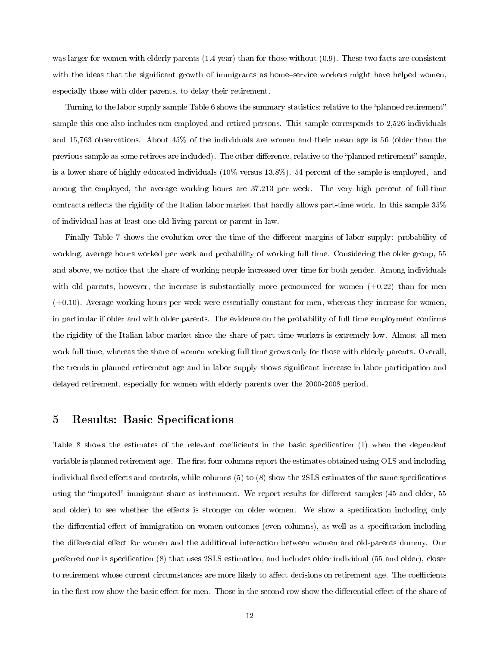was larger for women with elderly parents (1.4 year) than for those without (0.9). These two facts are consistent with the ideas that the significant growth of immigrants as home-service workers might have helped women, especially those with older parents, to delay their retirement.

Turning to the labor supply sample Table 6 shows the summary statistics; relative to the "planned retirement" sample this one also includes non-employed and retired persons. This sample corresponds to 2,526 individuals and 15,763 observations. About 45% of the individuals are women and their mean age is 56 (older than the previous sample as some retirees are included). The other difference, relative to the "planned retirement" sample, is a lower share of highly educated individuals (10% versus 13.8%). 54 percent of the sample is employed, and among the employed, the average working hours are 37.213 per week. The very high percent of full-time contracts reflects the rigidity of the Italian labor market that hardly allows part-time work. In this sample  $35\%$ of individual has at least one old living parent or parent-in law.

Finally Table 7 shows the evolution over the time of the different margins of labor supply: probability of working, average hours worked per week and probability of working full time. Considering the older group, 55 and above, we notice that the share of working people increased over time for both gender. Among individuals with old parents, however, the increase is substantially more pronounced for women  $(+0.22)$  than for men  $(+0.10)$ . Average working hours per week were essentially constant for men, whereas they increase for women, in particular if older and with older parents. The evidence on the probability of full time employment confirms the rigidity of the Italian labor market since the share of part time workers is extremely low. Almost all men work full time, whereas the share of women working full time grows only for those with elderly parents. Overall, the trends in planned retirement age and in labor supply shows signicant increase in labor participation and delayed retirement, especially for women with elderly parents over the 2000-2008 period.

## 5 Results: Basic Specifications

Table 8 shows the estimates of the relevant coefficients in the basic specification (1) when the dependent variable is planned retirement age. The first four columns report the estimates obtained using OLS and including individual fixed effects and controls, while columns  $(5)$  to  $(8)$  show the 2SLS estimates of the same specifications using the "imputed" immigrant share as instrument. We report results for different samples (45 and older, 55 and older) to see whether the effects is stronger on older women. We show a specification including only the differential effect of immigration on women outcomes (even columns), as well as a specification including the differential effect for women and the additional interaction between women and old-parents dummy. Our preferred one is specification (8) that uses 2SLS estimation, and includes older individual (55 and older), closer to retirement whose current circumstances are more likely to affect decisions on retirement age. The coefficients in the first row show the basic effect for men. Those in the second row show the differential effect of the share of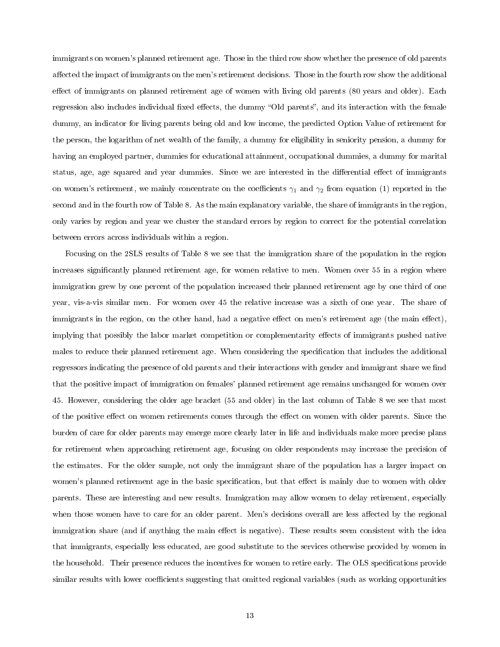immigrants on women's planned retirement age. Those in the third row show whether the presence of old parents affected the impact of immigrants on the men's retirement decisions. Those in the fourth row show the additional effect of immigrants on planned retirement age of women with living old parents (80 years and older). Each regression also includes individual fixed effects, the dummy "Old parents", and its interaction with the female dummy, an indicator for living parents being old and low income, the predicted Option Value of retirement for the person, the logarithm of net wealth of the family, a dummy for eligibility in seniority pension, a dummy for having an employed partner, dummies for educational attainment, occupational dummies, a dummy for marital status, age, age squared and year dummies. Since we are interested in the differential effect of immigrants on women's retirement, we mainly concentrate on the coefficients  $\gamma_1$  and  $\gamma_2$  from equation (1) reported in the second and in the fourth row of Table 8. As the main explanatory variable, the share of immigrants in the region, only varies by region and year we cluster the standard errors by region to correct for the potential correlation between errors across individuals within a region.

Focusing on the 2SLS results of Table 8 we see that the immigration share of the population in the region increases significantly planned retirement age, for women relative to men. Women over 55 in a region where immigration grew by one percent of the population increased their planned retirement age by one third of one year, vis-a-vis similar men. For women over 45 the relative increase was a sixth of one year. The share of immigrants in the region, on the other hand, had a negative effect on men's retirement age (the main effect), implying that possibly the labor market competition or complementarity effects of immigrants pushed native males to reduce their planned retirement age. When considering the specification that includes the additional regressors indicating the presence of old parents and their interactions with gender and immigrant share we find that the positive impact of immigration on females' planned retirement age remains unchanged for women over 45. However, considering the older age bracket (55 and older) in the last column of Table 8 we see that most of the positive effect on women retirements comes through the effect on women with older parents. Since the burden of care for older parents may emerge more clearly later in life and individuals make more precise plans for retirement when approaching retirement age, focusing on older respondents may increase the precision of the estimates. For the older sample, not only the immigrant share of the population has a larger impact on women's planned retirement age in the basic specification, but that effect is mainly due to women with older parents. These are interesting and new results. Immigration may allow women to delay retirement, especially when those women have to care for an older parent. Men's decisions overall are less affected by the regional immigration share (and if anything the main effect is negative). These results seem consistent with the idea that immigrants, especially less educated, are good substitute to the services otherwise provided by women in the household. Their presence reduces the incentives for women to retire early. The OLS specifications provide similar results with lower coefficients suggesting that omitted regional variables (such as working opportunities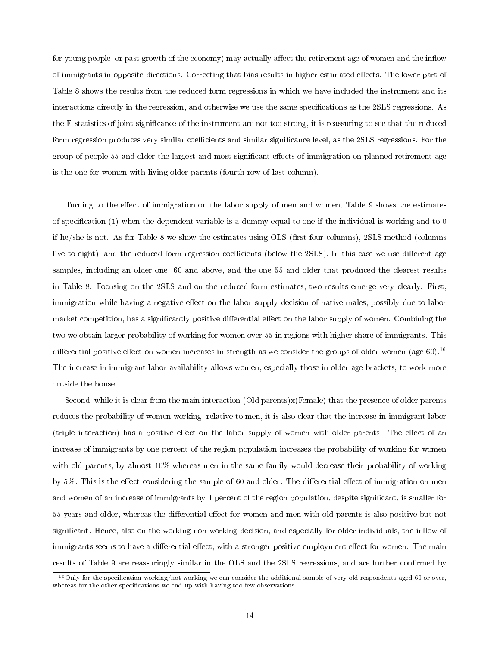for young people, or past growth of the economy) may actually affect the retirement age of women and the inflow of immigrants in opposite directions. Correcting that bias results in higher estimated eects. The lower part of Table 8 shows the results from the reduced form regressions in which we have included the instrument and its interactions directly in the regression, and otherwise we use the same specifications as the 2SLS regressions. As the F-statistics of joint signicance of the instrument are not too strong, it is reassuring to see that the reduced form regression produces very similar coefficients and similar significance level, as the 2SLS regressions. For the group of people 55 and older the largest and most significant effects of immigration on planned retirement age is the one for women with living older parents (fourth row of last column).

Turning to the effect of immigration on the labor supply of men and women, Table 9 shows the estimates of specification (1) when the dependent variable is a dummy equal to one if the individual is working and to 0 if he/she is not. As for Table 8 we show the estimates using  $OLS$  (first four columns), 2SLS method (columns) five to eight), and the reduced form regression coefficients (below the 2SLS). In this case we use different age samples, including an older one, 60 and above, and the one 55 and older that produced the clearest results in Table 8. Focusing on the 2SLS and on the reduced form estimates, two results emerge very clearly. First, immigration while having a negative effect on the labor supply decision of native males, possibly due to labor market competition, has a significantly positive differential effect on the labor supply of women. Combining the two we obtain larger probability of working for women over 55 in regions with higher share of immigrants. This differential positive effect on women increases in strength as we consider the groups of older women (age 60).<sup>16</sup> The increase in immigrant labor availability allows women, especially those in older age brackets, to work more outside the house.

Second, while it is clear from the main interaction (Old parents)x(Female) that the presence of older parents reduces the probability of women working, relative to men, it is also clear that the increase in immigrant labor (triple interaction) has a positive effect on the labor supply of women with older parents. The effect of an increase of immigrants by one percent of the region population increases the probability of working for women with old parents, by almost  $10\%$  whereas men in the same family would decrease their probability of working by 5%. This is the effect considering the sample of 60 and older. The differential effect of immigration on men and women of an increase of immigrants by 1 percent of the region population, despite significant, is smaller for 55 years and older, whereas the differential effect for women and men with old parents is also positive but not significant. Hence, also on the working-non working decision, and especially for older individuals, the inflow of immigrants seems to have a differential effect, with a stronger positive employment effect for women. The main results of Table 9 are reassuringly similar in the OLS and the 2SLS regressions, and are further confirmed by

<sup>&</sup>lt;sup>16</sup>Only for the specification working/not working we can consider the additional sample of very old respondents aged 60 or over, whereas for the other specifications we end up with having too few observations.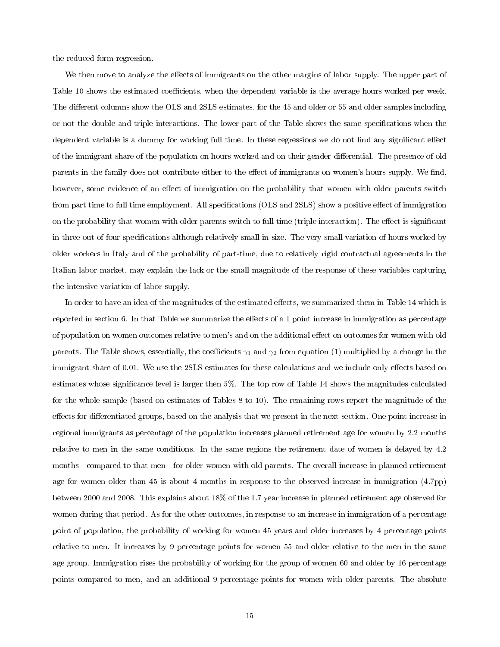the reduced form regression.

We then move to analyze the effects of immigrants on the other margins of labor supply. The upper part of Table 10 shows the estimated coefficients, when the dependent variable is the average hours worked per week. The different columns show the OLS and 2SLS estimates, for the 45 and older or 55 and older samples including or not the double and triple interactions. The lower part of the Table shows the same specifications when the dependent variable is a dummy for working full time. In these regressions we do not find any significant effect of the immigrant share of the population on hours worked and on their gender differential. The presence of old parents in the family does not contribute either to the effect of immigrants on women's hours supply. We find, however, some evidence of an effect of immigration on the probability that women with older parents switch from part time to full time employment. All specifications (OLS and 2SLS) show a positive effect of immigration on the probability that women with older parents switch to full time (triple interaction). The effect is significant in three out of four specifications although relatively small in size. The very small variation of hours worked by older workers in Italy and of the probability of part-time, due to relatively rigid contractual agreements in the Italian labor market, may explain the lack or the small magnitude of the response of these variables capturing the intensive variation of labor supply.

In order to have an idea of the magnitudes of the estimated effects, we summarized them in Table 14 which is reported in section 6. In that Table we summarize the effects of a 1 point increase in immigration as percentage of population on women outcomes relative to men's and on the additional effect on outcomes for women with old parents. The Table shows, essentially, the coefficients  $\gamma_1$  and  $\gamma_2$  from equation (1) multiplied by a change in the immigrant share of 0.01. We use the 2SLS estimates for these calculations and we include only effects based on estimates whose signicance level is larger then 5%. The top row of Table 14 shows the magnitudes calculated for the whole sample (based on estimates of Tables 8 to 10). The remaining rows report the magnitude of the effects for differentiated groups, based on the analysis that we present in the next section. One point increase in regional immigrants as percentage of the population increases planned retirement age for women by 2.2 months relative to men in the same conditions. In the same regions the retirement date of women is delayed by 4.2 months - compared to that men - for older women with old parents. The overall increase in planned retirement age for women older than 45 is about 4 months in response to the observed increase in immigration (4.7pp) between 2000 and 2008. This explains about 18% of the 1.7 year increase in planned retirement age observed for women during that period. As for the other outcomes, in response to an increase in immigration of a percentage point of population, the probability of working for women 45 years and older increases by 4 percentage points relative to men. It increases by 9 percentage points for women 55 and older relative to the men in the same age group. Immigration rises the probability of working for the group of women 60 and older by 16 percentage points compared to men, and an additional 9 percentage points for women with older parents. The absolute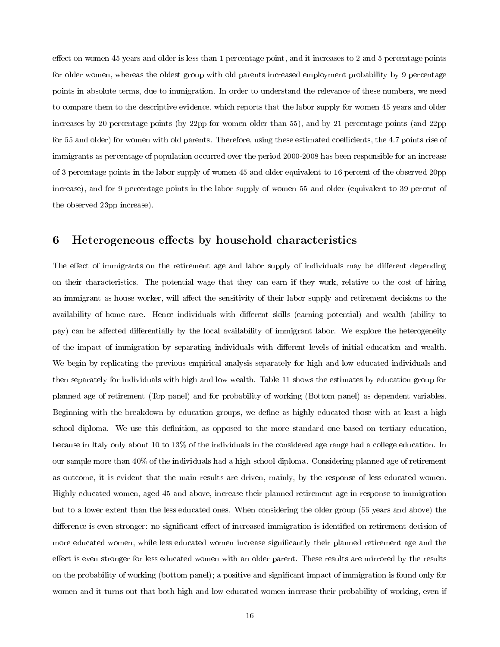effect on women 45 years and older is less than 1 percentage point, and it increases to 2 and 5 percentage points for older women, whereas the oldest group with old parents increased employment probability by 9 percentage points in absolute terms, due to immigration. In order to understand the relevance of these numbers, we need to compare them to the descriptive evidence, which reports that the labor supply for women 45 years and older increases by 20 percentage points (by 22pp for women older than 55), and by 21 percentage points (and 22pp for 55 and older) for women with old parents. Therefore, using these estimated coefficients, the 4.7 points rise of immigrants as percentage of population occurred over the period 2000-2008 has been responsible for an increase of 3 percentage points in the labor supply of women 45 and older equivalent to 16 percent of the observed 20pp increase), and for 9 percentage points in the labor supply of women 55 and older (equivalent to 39 percent of the observed 23pp increase).

# 6 Heterogeneous effects by household characteristics

The effect of immigrants on the retirement age and labor supply of individuals may be different depending on their characteristics. The potential wage that they can earn if they work, relative to the cost of hiring an immigrant as house worker, will affect the sensitivity of their labor supply and retirement decisions to the availability of home care. Hence individuals with different skills (earning potential) and wealth (ability to pay) can be affected differentially by the local availability of immigrant labor. We explore the heterogeneity of the impact of immigration by separating individuals with dierent levels of initial education and wealth. We begin by replicating the previous empirical analysis separately for high and low educated individuals and then separately for individuals with high and low wealth. Table 11 shows the estimates by education group for planned age of retirement (Top panel) and for probability of working (Bottom panel) as dependent variables. Beginning with the breakdown by education groups, we dene as highly educated those with at least a high school diploma. We use this definition, as opposed to the more standard one based on tertiary education, because in Italy only about 10 to 13% of the individuals in the considered age range had a college education. In our sample more than 40% of the individuals had a high school diploma. Considering planned age of retirement as outcome, it is evident that the main results are driven, mainly, by the response of less educated women. Highly educated women, aged 45 and above, increase their planned retirement age in response to immigration but to a lower extent than the less educated ones. When considering the older group (55 years and above) the difference is even stronger: no significant effect of increased immigration is identified on retirement decision of more educated women, while less educated women increase signicantly their planned retirement age and the effect is even stronger for less educated women with an older parent. These results are mirrored by the results on the probability of working (bottom panel); a positive and signicant impact of immigration is found only for women and it turns out that both high and low educated women increase their probability of working, even if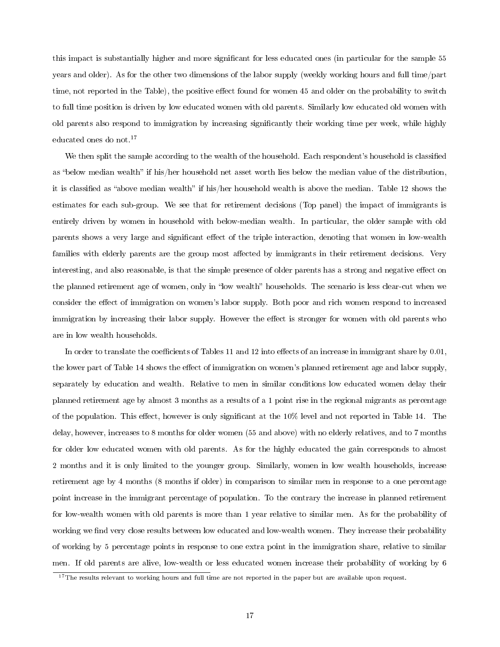this impact is substantially higher and more significant for less educated ones (in particular for the sample 55 years and older). As for the other two dimensions of the labor supply (weekly working hours and full time/part time, not reported in the Table), the positive effect found for women 45 and older on the probability to switch to full time position is driven by low educated women with old parents. Similarly low educated old women with old parents also respond to immigration by increasing signicantly their working time per week, while highly educated ones do not.<sup>17</sup>

We then split the sample according to the wealth of the household. Each respondent's household is classified as "below median wealth" if his/her household net asset worth lies below the median value of the distribution, it is classified as "above median wealth" if his/her household wealth is above the median. Table 12 shows the estimates for each sub-group. We see that for retirement decisions (Top panel) the impact of immigrants is entirely driven by women in household with below-median wealth. In particular, the older sample with old parents shows a very large and significant effect of the triple interaction, denoting that women in low-wealth families with elderly parents are the group most affected by immigrants in their retirement decisions. Very interesting, and also reasonable, is that the simple presence of older parents has a strong and negative effect on the planned retirement age of women, only in "low wealth" households. The scenario is less clear-cut when we consider the effect of immigration on women's labor supply. Both poor and rich women respond to increased immigration by increasing their labor supply. However the effect is stronger for women with old parents who are in low wealth households.

In order to translate the coefficients of Tables 11 and 12 into effects of an increase in immigrant share by  $0.01$ , the lower part of Table 14 shows the effect of immigration on women's planned retirement age and labor supply, separately by education and wealth. Relative to men in similar conditions low educated women delay their planned retirement age by almost 3 months as a results of a 1 point rise in the regional migrants as percentage of the population. This effect, however is only significant at the 10% level and not reported in Table 14. The delay, however, increases to 8 months for older women (55 and above) with no elderly relatives, and to 7 months for older low educated women with old parents. As for the highly educated the gain corresponds to almost 2 months and it is only limited to the younger group. Similarly, women in low wealth households, increase retirement age by 4 months (8 months if older) in comparison to similar men in response to a one percentage point increase in the immigrant percentage of population. To the contrary the increase in planned retirement for low-wealth women with old parents is more than 1 year relative to similar men. As for the probability of working we find very close results between low educated and low-wealth women. They increase their probability of working by 5 percentage points in response to one extra point in the immigration share, relative to similar men. If old parents are alive, low-wealth or less educated women increase their probability of working by 6

 $17$ The results relevant to working hours and full time are not reported in the paper but are available upon request.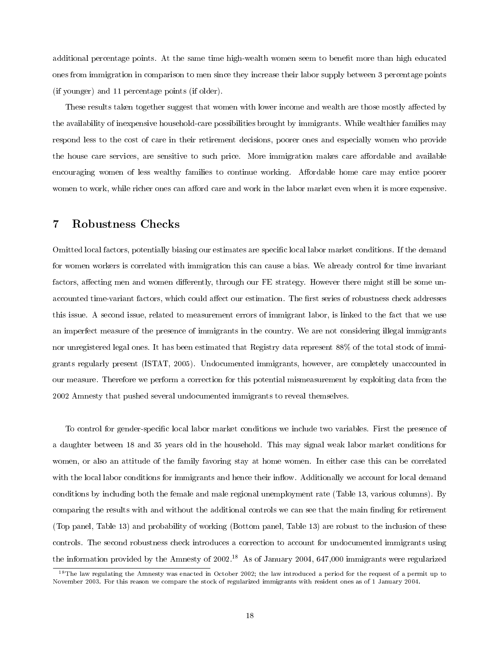additional percentage points. At the same time high-wealth women seem to benefit more than high educated ones from immigration in comparison to men since they increase their labor supply between 3 percentage points (if younger) and 11 percentage points (if older).

These results taken together suggest that women with lower income and wealth are those mostly affected by the availability of inexpensive household-care possibilities brought by immigrants. While wealthier families may respond less to the cost of care in their retirement decisions, poorer ones and especially women who provide the house care services, are sensitive to such price. More immigration makes care affordable and available encouraging women of less wealthy families to continue working. Affordable home care may entice poorer women to work, while richer ones can afford care and work in the labor market even when it is more expensive.

## 7 Robustness Checks

Omitted local factors, potentially biasing our estimates are specic local labor market conditions. If the demand for women workers is correlated with immigration this can cause a bias. We already control for time invariant factors, affecting men and women differently, through our FE strategy. However there might still be some unaccounted time-variant factors, which could affect our estimation. The first series of robustness check addresses this issue. A second issue, related to measurement errors of immigrant labor, is linked to the fact that we use an imperfect measure of the presence of immigrants in the country. We are not considering illegal immigrants nor unregistered legal ones. It has been estimated that Registry data represent 88% of the total stock of immigrants regularly present (ISTAT, 2005). Undocumented immigrants, however, are completely unaccounted in our measure. Therefore we perform a correction for this potential mismeasurement by exploiting data from the 2002 Amnesty that pushed several undocumented immigrants to reveal themselves.

To control for gender-specific local labor market conditions we include two variables. First the presence of a daughter between 18 and 35 years old in the household. This may signal weak labor market conditions for women, or also an attitude of the family favoring stay at home women. In either case this can be correlated with the local labor conditions for immigrants and hence their inflow. Additionally we account for local demand conditions by including both the female and male regional unemployment rate (Table 13, various columns). By comparing the results with and without the additional controls we can see that the main finding for retirement (Top panel, Table 13) and probability of working (Bottom panel, Table 13) are robust to the inclusion of these controls. The second robustness check introduces a correction to account for undocumented immigrants using the information provided by the Amnesty of 2002.<sup>18</sup> As of January 2004, 647,000 immigrants were regularized

 $18$ The law regulating the Amnesty was enacted in October 2002; the law introduced a period for the request of a permit up to November 2003. For this reason we compare the stock of regularized immigrants with resident ones as of 1 January 2004.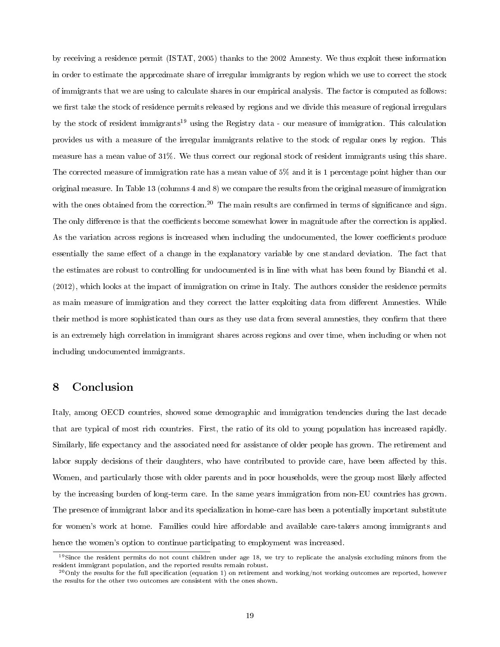by receiving a residence permit (ISTAT, 2005) thanks to the 2002 Amnesty. We thus exploit these information in order to estimate the approximate share of irregular immigrants by region which we use to correct the stock of immigrants that we are using to calculate shares in our empirical analysis. The factor is computed as follows: we first take the stock of residence permits released by regions and we divide this measure of regional irregulars by the stock of resident immigrants<sup>19</sup> using the Registry data - our measure of immigration. This calculation provides us with a measure of the irregular immigrants relative to the stock of regular ones by region. This measure has a mean value of 31%. We thus correct our regional stock of resident immigrants using this share. The corrected measure of immigration rate has a mean value of 5% and it is 1 percentage point higher than our original measure. In Table 13 (columns 4 and 8) we compare the results from the original measure of immigration with the ones obtained from the correction.<sup>20</sup> The main results are confirmed in terms of significance and sign. The only difference is that the coefficients become somewhat lower in magnitude after the correction is applied. As the variation across regions is increased when including the undocumented, the lower coefficients produce essentially the same effect of a change in the explanatory variable by one standard deviation. The fact that the estimates are robust to controlling for undocumented is in line with what has been found by Bianchi et al. (2012), which looks at the impact of immigration on crime in Italy. The authors consider the residence permits as main measure of immigration and they correct the latter exploiting data from different Amnesties. While their method is more sophisticated than ours as they use data from several amnesties, they confirm that there is an extremely high correlation in immigrant shares across regions and over time, when including or when not including undocumented immigrants.

## 8 Conclusion

Italy, among OECD countries, showed some demographic and immigration tendencies during the last decade that are typical of most rich countries. First, the ratio of its old to young population has increased rapidly. Similarly, life expectancy and the associated need for assistance of older people has grown. The retirement and labor supply decisions of their daughters, who have contributed to provide care, have been affected by this. Women, and particularly those with older parents and in poor households, were the group most likely affected by the increasing burden of long-term care. In the same years immigration from non-EU countries has grown. The presence of immigrant labor and its specialization in home-care has been a potentially important substitute for women's work at home. Families could hire affordable and available care-takers among immigrants and hence the women's option to continue participating to employment was increased.

<sup>&</sup>lt;sup>19</sup>Since the resident permits do not count children under age 18, we try to replicate the analysis excluding minors from the resident immigrant population, and the reported results remain robust.

 $^{20}$ Only the results for the full specification (equation 1) on retirement and working/not working outcomes are reported, however the results for the other two outcomes are consistent with the ones shown.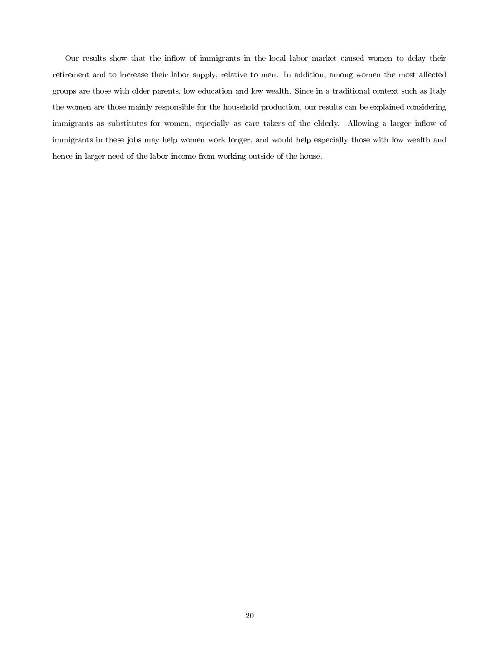Our results show that the inflow of immigrants in the local labor market caused women to delay their retirement and to increase their labor supply, relative to men. In addition, among women the most affected groups are those with older parents, low education and low wealth. Since in a traditional context such as Italy the women are those mainly responsible for the household production, our results can be explained considering immigrants as substitutes for women, especially as care takers of the elderly. Allowing a larger inflow of immigrants in these jobs may help women work longer, and would help especially those with low wealth and hence in larger need of the labor income from working outside of the house.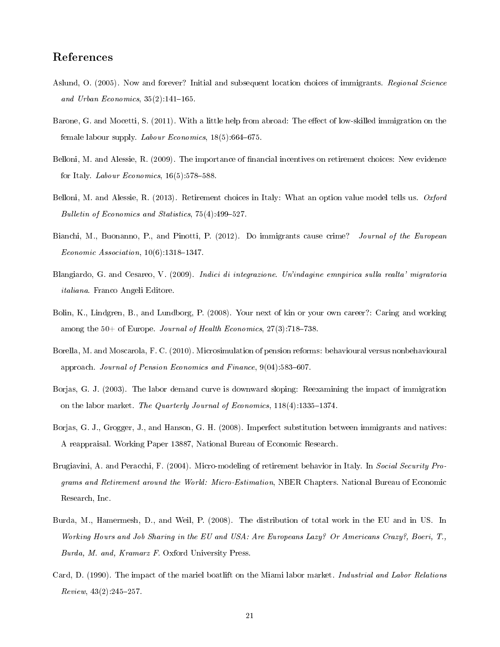## References

- Aslund, O. (2005). Now and forever? Initial and subsequent location choices of immigrants. Regional Science and Urban Economics,  $35(2)$ :141-165.
- Barone, G. and Mocetti, S. (2011). With a little help from abroad: The effect of low-skilled immigration on the female labour supply. Labour Economics,  $18(5)$ :664–675.
- Belloni, M. and Alessie, R. (2009). The importance of nancial incentives on retirement choices: New evidence for Italy. *Labour Economics*,  $16(5):578-588$ .
- Belloni, M. and Alessie, R. (2013). Retirement choices in Italy: What an option value model tells us. Oxford Bulletin of Economics and Statistics,  $75(4)$ : 499-527.
- Bianchi, M., Buonanno, P., and Pinotti, P. (2012). Do immigrants cause crime? Journal of the European Economic Association,  $10(6)$ : 1318-1347.
- Blangiardo, G. and Cesareo, V. (2009). Indici di integrazione. Un'indagine emnpirica sulla realta' migratoria italiana. Franco Angeli Editore.
- Bolin, K., Lindgren, B., and Lundborg, P. (2008). Your next of kin or your own career?: Caring and working among the  $50+$  of Europe. *Journal of Health Economics*,  $27(3)$ :  $718-738$ .
- Borella, M. and Moscarola, F. C. (2010). Microsimulation of pension reforms: behavioural versus nonbehavioural approach. Journal of Pension Economics and Finance,  $9(04):583-607$ .
- Borjas, G. J. (2003). The labor demand curve is downward sloping: Reexamining the impact of immigration on the labor market. The Quarterly Journal of Economics,  $118(4)$ : 1335-1374.
- Borjas, G. J., Grogger, J., and Hanson, G. H. (2008). Imperfect substitution between immigrants and natives: A reappraisal. Working Paper 13887, National Bureau of Economic Research.
- Brugiavini, A. and Peracchi, F. (2004). Micro-modeling of retirement behavior in Italy. In Social Security Programs and Retirement around the World: Micro-Estimation, NBER Chapters. National Bureau of Economic Research, Inc.
- Burda, M., Hamermesh, D., and Weil, P. (2008). The distribution of total work in the EU and in US. In Working Hours and Job Sharing in the EU and USA: Are Europeans Lazy? Or Americans Crazy?, Boeri, T., Burda, M. and, Kramarz F. Oxford University Press.
- Card, D. (1990). The impact of the mariel boatlift on the Miami labor market. Industrial and Labor Relations  $Review, 43(2):245-257.$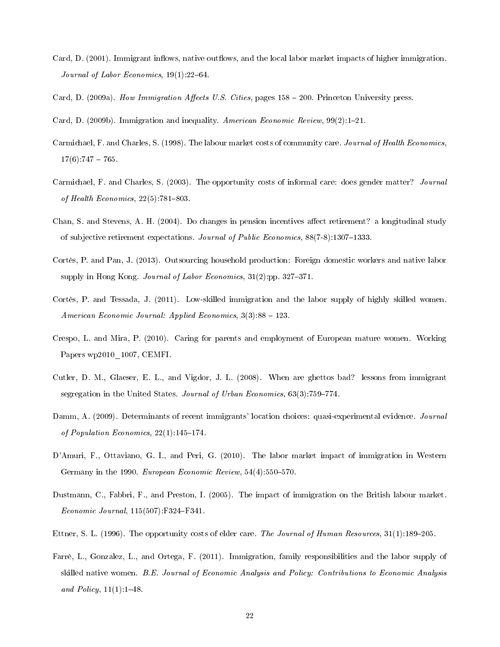- Card, D. (2001). Immigrant inflows, native outflows, and the local labor market impacts of higher immigration. Journal of Labor Economics,  $19(1)$ :  $22-64$ .
- Card, D. (2009a). How Immigration Affects U.S. Cities, pages  $158 200$ . Princeton University press.
- Card, D. (2009b). Immigration and inequality. American Economic Review,  $99(2):1-21$ .
- Carmichael, F. and Charles, S. (1998). The labour market costs of community care. Journal of Health Economics,  $17(6)$ : 747 - 765.
- Carmichael, F. and Charles, S. (2003). The opportunity costs of informal care: does gender matter? Journal of Health Economics,  $22(5)$ : 781-803.
- Chan, S. and Stevens, A. H. (2004). Do changes in pension incentives affect retirement? a longitudinal study of subjective retirement expectations. Journal of Public Economics, 88(7-8):1307–1333.
- Cortès, P. and Pan, J. (2013). Outsourcing household production: Foreign domestic workers and native labor supply in Hong Kong. Journal of Labor Economics,  $31(2)$ :pp.  $327-371$ .
- Cortès, P. and Tessada, J. (2011). Low-skilled immigration and the labor supply of highly skilled women. American Economic Journal: Applied Economics,  $3(3)$ :88 – 123.
- Crespo, L. and Mira, P. (2010). Caring for parents and employment of European mature women. Working Papers wp2010\_1007, CEMFI.
- Cutler, D. M., Glaeser, E. L., and Vigdor, J. L. (2008). When are ghettos bad? lessons from immigrant segregation in the United States. Journal of Urban Economics,  $63(3)$ : 759–774.
- Damm, A. (2009). Determinants of recent immigrants' location choices: quasi-experimental evidence. *Journal* of Population Economics,  $22(1)$ :145-174.
- D'Amuri, F., Ottaviano, G. I., and Peri, G. (2010). The labor market impact of immigration in Western Germany in the 1990. European Economic Review,  $54(4)$ :  $550-570$ .
- Dustmann, C., Fabbri, F., and Preston, I. (2005). The impact of immigration on the British labour market.  $Economic\; Journal, 115(507):F324-F341.$
- Ettner, S. L. (1996). The opportunity costs of elder care. The Journal of Human Resources,  $31(1):189-205$ .
- Farrè, L., Gonzalez, L., and Ortega, F. (2011). Immigration, family responsibilities and the labor supply of skilled native women. B.E. Journal of Economic Analysis and Policy: Contributions to Economic Analysis and Policy,  $11(1):1-48$ .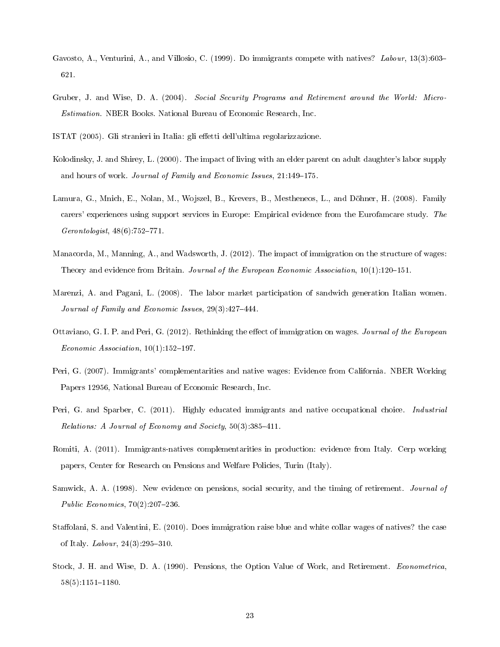- Gavosto, A., Venturini, A., and Villosio, C. (1999). Do immigrants compete with natives? Labour, 13(3):603– 621.
- Gruber, J. and Wise, D. A. (2004). Social Security Programs and Retirement around the World: Micro-Estimation. NBER Books. National Bureau of Economic Research, Inc.

ISTAT (2005). Gli stranieri in Italia: gli effetti dell'ultima regolarizzazione.

- Kolodinsky, J. and Shirey, L. (2000). The impact of living with an elder parent on adult daughter's labor supply and hours of work. Journal of Family and Economic Issues, 21:149-175.
- Lamura, G., Mnich, E., Nolan, M., Wojszel, B., Krevers, B., Mestheneos, L., and Döhner, H. (2008). Family carers' experiences using support services in Europe: Empirical evidence from the Eurofamcare study. The  $Gen to logistic, 48(6): 752-771.$
- Manacorda, M., Manning, A., and Wadsworth, J. (2012). The impact of immigration on the structure of wages: Theory and evidence from Britain. Journal of the European Economic Association,  $10(1):120-151$ .
- Marenzi, A. and Pagani, L. (2008). The labor market participation of sandwich generation Italian women. Journal of Family and Economic Issues,  $29(3)$ :  $427-444$ .
- Ottaviano, G. I. P. and Peri, G. (2012). Rethinking the effect of immigration on wages. Journal of the European Economic Association,  $10(1)$ :152-197.
- Peri, G. (2007). Immigrants' complementarities and native wages: Evidence from California. NBER Working Papers 12956, National Bureau of Economic Research, Inc.
- Peri, G. and Sparber, C. (2011). Highly educated immigrants and native occupational choice. Industrial Relations: A Journal of Economy and Society,  $50(3)$ : 385-411.
- Romiti, A. (2011). Immigrants-natives complementarities in production: evidence from Italy. Cerp working papers, Center for Research on Pensions and Welfare Policies, Turin (Italy).
- Samwick, A. A. (1998). New evidence on pensions, social security, and the timing of retirement. *Journal of* Public Economics,  $70(2):207-236$ .
- Staffolani, S. and Valentini, E. (2010). Does immigration raise blue and white collar wages of natives? the case of Italy. *Labour*,  $24(3).295-310$ .
- Stock, J. H. and Wise, D. A. (1990). Pensions, the Option Value of Work, and Retirement. Econometrica,  $58(5):1151-1180.$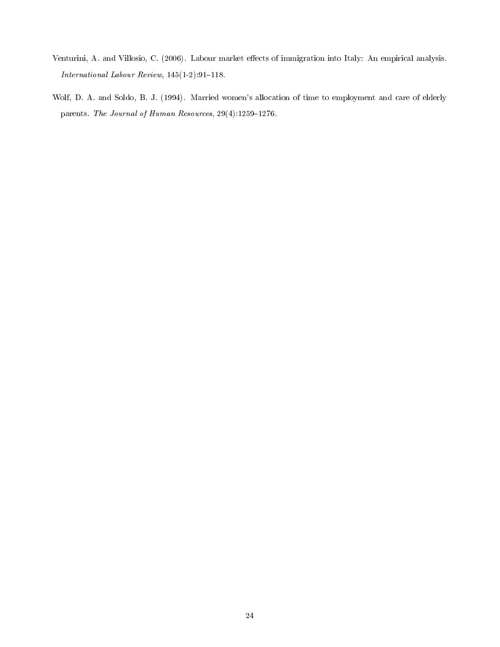- Venturini, A. and Villosio, C. (2006). Labour market effects of immigration into Italy: An empirical analysis. International Labour Review,  $145(1-2):91-118$ .
- Wolf, D. A. and Soldo, B. J. (1994). Married women's allocation of time to employment and care of elderly parents. The Journal of Human Resources,  $29(4):1259-1276$ .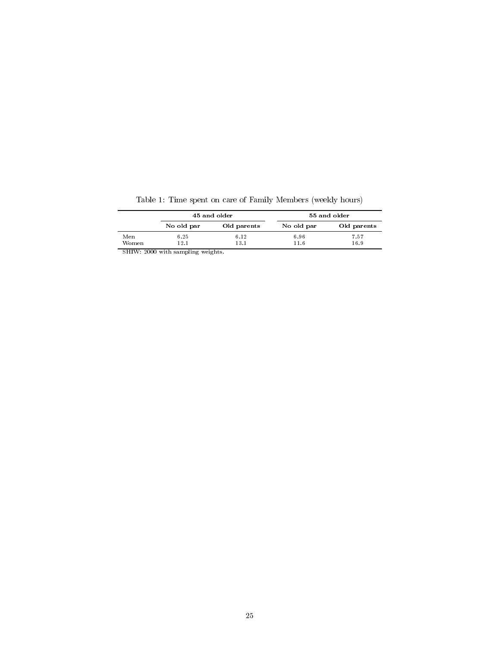|       |                                   | 45 and older | 55 and older |             |  |  |  |  |
|-------|-----------------------------------|--------------|--------------|-------------|--|--|--|--|
|       | No old par                        | Old parents  | No old par   | Old parents |  |  |  |  |
| Men   | 6.25                              | 6.12         | 6.96         | 7.57        |  |  |  |  |
| Women | 12.1                              | 13.1         | 11.6         | 16.9        |  |  |  |  |
|       | SHIW: 2000 with sampling weights. |              |              |             |  |  |  |  |

Table 1: Time spent on care of Family Members (weekly hours)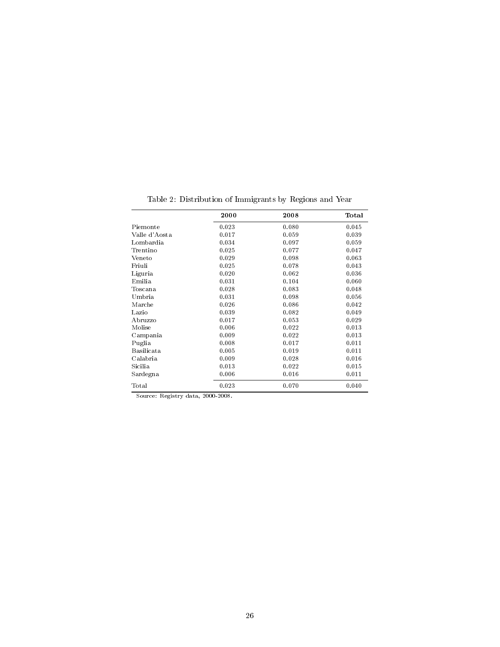|                   | 2000  | 2008  | Total |
|-------------------|-------|-------|-------|
| Piemonte          | 0.023 | 0.080 | 0.045 |
| Valle d'Aosta     | 0.017 | 0.059 | 0.039 |
| Lombardia         | 0.034 | 0.097 | 0.059 |
| Trentino          | 0.025 | 0.077 | 0.047 |
| Veneto            | 0.029 | 0.098 | 0.063 |
| Friuli            | 0.025 | 0.078 | 0.043 |
| Liguria           | 0.020 | 0.062 | 0.036 |
| Emilia            | 0.031 | 0.104 | 0.060 |
| Toscana           | 0.028 | 0.083 | 0.048 |
| Umbria            | 0.031 | 0.098 | 0.056 |
| Marche            | 0.026 | 0.086 | 0.042 |
| Lazio             | 0.039 | 0.082 | 0.049 |
| Abruzzo           | 0.017 | 0.053 | 0.029 |
| Molise            | 0.006 | 0.022 | 0.013 |
| Campania          | 0.009 | 0.022 | 0.013 |
| Puglia            | 0.008 | 0.017 | 0.011 |
| <b>Basilicata</b> | 0.005 | 0.019 | 0.011 |
| Calabria          | 0.009 | 0.028 | 0.016 |
| Sicilia           | 0.013 | 0.022 | 0.015 |
| Sardegna          | 0.006 | 0.016 | 0.011 |
| Total             | 0.023 | 0.070 | 0.040 |

Table 2: Distribution of Immigrants by Regions and Year

Source: Registry data, 2000-2008.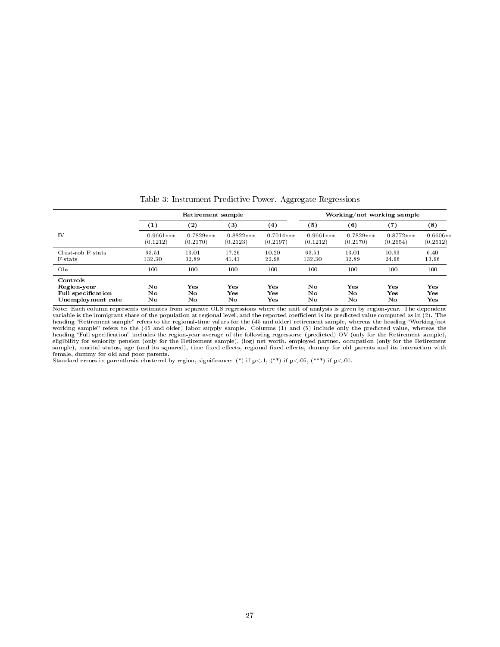|                                                                           |                         | Retirement sample       |                         |                              | Working/not working sample |                            |                         |                              |  |  |
|---------------------------------------------------------------------------|-------------------------|-------------------------|-------------------------|------------------------------|----------------------------|----------------------------|-------------------------|------------------------------|--|--|
|                                                                           | $\left( 1\right)$       | $\bf(2)$                | $^{\rm (3)}$            | $\left( 4\right)$            | (5)                        | $^{\rm (6)}$               | $\scriptstyle{(7)}$     | $^{(8)}$                     |  |  |
| IV                                                                        | $0.9661***$<br>(0.1212) | $0.7829***$<br>(0.2170) | $0.8822***$<br>(0.2123) | $0.7014***$<br>(0.2197)      | $0.9661***$<br>(0.1212)    | $0.7829***$<br>(0.2170)    | $0.8772***$<br>(0.2654) | $0.6606**$<br>(0.2612)       |  |  |
| Clust-rob F stats<br>F-stats                                              | 63.51<br>132.30         | 13.01<br>32.89          | 17.26<br>41.41          | 10.20<br>22.98               | 63.51<br>132.30            | 13.01<br>32.89             | 10.93<br>24.96          | 6.40<br>13.96                |  |  |
| O <sub>bs</sub>                                                           | 100                     | 100                     | 100                     | 100                          | 100                        | 100                        | 100                     | 100                          |  |  |
| Controls<br>Region-year<br><b>Full specification</b><br>Unemployment rate | No<br>No<br>No          | Yes<br>No<br>No         | Yes<br>Yes<br>No.       | $\mathbf{Yes}$<br>Yes<br>Yes | No<br>No<br>No             | $\mathbf{Yes}$<br>No<br>No | Yes<br>Yes<br>No        | $\mathbf{Yes}$<br>Yes<br>Yes |  |  |

Table 3: Instrument Predictive Power. Aggregate Regressions

Note: Each column represents estimates from separate OLS regressions where the unit of analysis is given by region-year. The dependent variable is the immigrant share of the population at regional level, and the reported coefficient is its predicted value computed as in (2). The<br>heading "Retirement sample" refers to the regional-time values for the (45 an working sample" refers to the (45 and older) labor supply sample. Columns (1) and (5) include only the predicted value, whereas the<br>heading "Full specification" includes the region-year average of the following regressors eligibility for seniority pension (only for the Retirement sample), (log) net worth, employed partner, occupation (only for the Retirement<br>sample), marital status, age (and its squared), time fixed effects, regional fixed

Standard errors in parenthesis clustered by region, significance: (\*) if  $p<.1$ , (\*\*) if  $p<.05$ , (\*\*\*) if  $p<.01$ .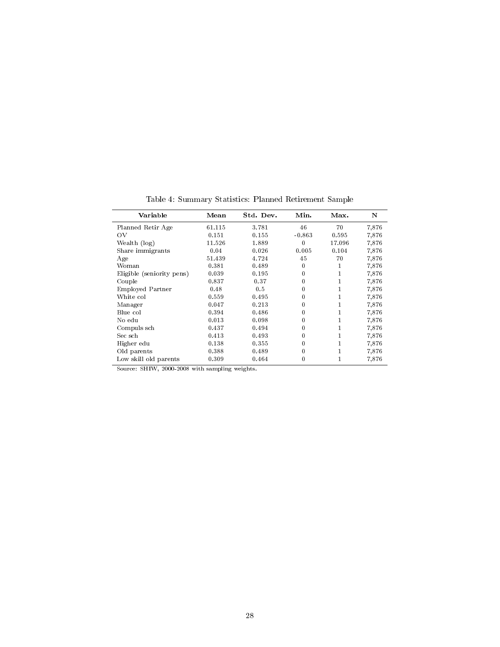| Variable                  | Mean   | Std. Dev. | Min.         | Max.   | N     |
|---------------------------|--------|-----------|--------------|--------|-------|
| Planned Retir Age         | 61.115 | 3.781     | 46           | 70     | 7,876 |
| ΟV                        | 0.151  | 0.155     | $-0.863$     | 0.595  | 7,876 |
| Wealth (log)              | 11.526 | 1.889     | 0            | 17.096 | 7,876 |
| Share immigrants          | 0.04   | 0.026     | 0.005        | 0.104  | 7,876 |
| Age                       | 51.439 | 4.724     | 45           | 70     | 7,876 |
| Woman                     | 0.381  | 0.489     | $\mathbf{0}$ | 1      | 7,876 |
| Eligible (seniority pens) | 0.039  | 0.195     | 0            |        | 7,876 |
| Couple                    | 0.837  | 0.37      | 0            |        | 7,876 |
| Employed Partner          | 0.48   | 0.5       | 0            |        | 7,876 |
| White col                 | 0.559  | 0.495     | 0            |        | 7,876 |
| Manager                   | 0.047  | 0.213     | 0            |        | 7,876 |
| Blue col                  | 0.394  | 0.486     | 0            |        | 7,876 |
| No edu                    | 0.013  | 0.098     | 0            |        | 7,876 |
| Compuls sch               | 0.437  | 0.494     | 0            |        | 7,876 |
| Sec sch                   | 0.413  | 0.493     | 0            |        | 7,876 |
| Higher edu                | 0.138  | 0.355     | 0            |        | 7,876 |
| Old parents               | 0.388  | 0.489     | 0            |        | 7,876 |
| Low skill old parents     | 0.309  | 0.464     | 0            |        | 7,876 |

Table 4: Summary Statistics: Planned Retirement Sample

Source: SHIW, 2000-2008 with sampling weights.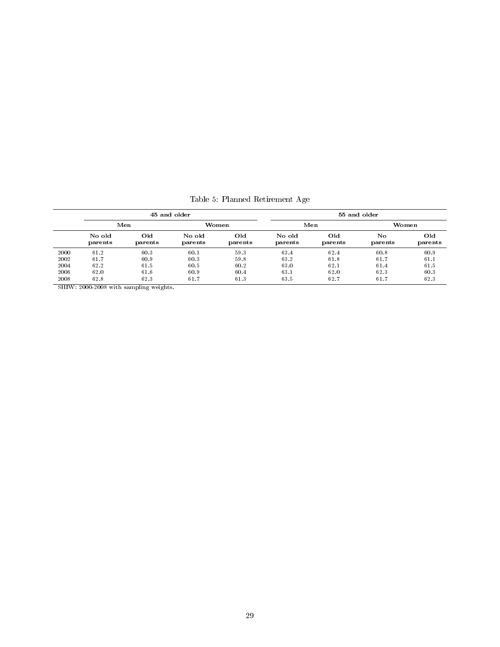|      |                                     |      | 45 and older      |                | 55 and older      |                |               |                |  |  |
|------|-------------------------------------|------|-------------------|----------------|-------------------|----------------|---------------|----------------|--|--|
|      | Men                                 |      | Women             |                |                   | Men            | Women         |                |  |  |
|      | Old<br>No old<br>parents<br>parents |      | No old<br>parents | Old<br>parents | No old<br>parents | Old<br>parents | No<br>parents | Old<br>parents |  |  |
| 2000 | 61.2                                | 60.3 | 60.1              | 59.3           | 63.4              | 62.4           | 60.8          | 60.9           |  |  |
| 2002 | 61.7                                | 60.9 | 60.3              | 59.8           | 63.2              | 61.8           | 61.7          | 61.1           |  |  |
| 2004 | 62.2                                | 61.5 | 60.5              | 60.2           | 63.0              | 62.1           | 61.4          | 61.5           |  |  |
| 2006 | 62.0                                | 61.6 | 60.9              | 60.4           | 63.1              | 62.0           | 62.3          | 60.3           |  |  |
| 2008 | 62.3<br>62.8                        |      | 61.7              | 61.3           | 63.5              |                | 61.7          | 62.3           |  |  |

Table 5: Planned Retirement Age

SHIW: 2000-2008 with sampling weights.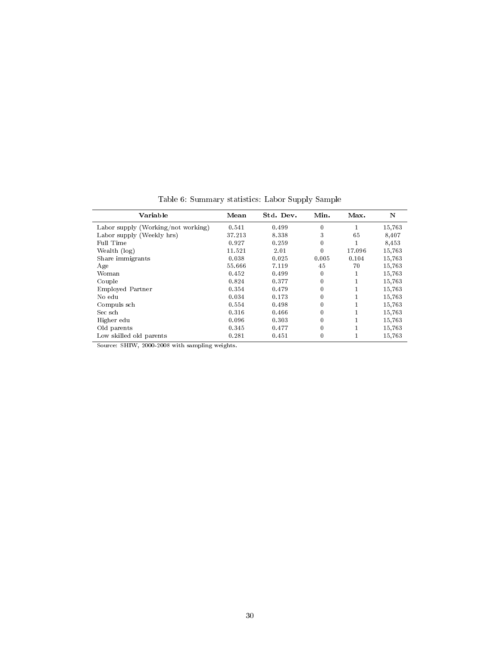| Variable                           | Mean   | Std. Dev. | Min.     | Max.   | N      |
|------------------------------------|--------|-----------|----------|--------|--------|
| Labor supply (Working/not working) | 0.541  | 0.499     | $\bf{0}$ |        | 15,763 |
| Labor supply (Weekly hrs)          | 37.213 | 8.338     | 3        | 65     | 8,407  |
| Full Time                          | 0.927  | 0.259     | $\bf{0}$ |        | 8,453  |
| Wealth (log)                       | 11.521 | 2.01      | $\bf{0}$ | 17.096 | 15,763 |
| Share immigrants                   | 0.038  | 0.025     | 0.005    | 0.104  | 15,763 |
| Age                                | 55.666 | 7.119     | 45       | 70     | 15,763 |
| Woman                              | 0.452  | 0.499     | 0        |        | 15,763 |
| Couple                             | 0.824  | 0.377     | 0        |        | 15,763 |
| Employed Partner                   | 0.354  | 0.479     | 0        |        | 15,763 |
| No edu                             | 0.034  | 0.173     | $\theta$ |        | 15,763 |
| Compuls sch                        | 0.554  | 0.498     | 0        |        | 15,763 |
| Sec sch                            | 0.316  | 0.466     | $\bf{0}$ |        | 15.763 |
| Higher edu                         | 0.096  | 0.303     | $\bf{0}$ |        | 15,763 |
| Old parents                        | 0.345  | 0.477     | $\theta$ |        | 15.763 |
| Low skilled old parents            | 0.281  | 0.451     | $\theta$ |        | 15.763 |

Table 6: Summary statistics: Labor Supply Sample

Source: SHIW, 2000-2008 with sampling weights.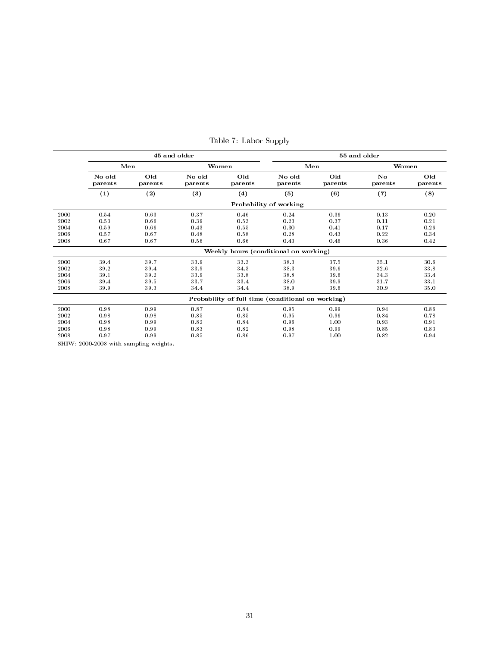|                                      |                                      |                                      | 45 and older                         |                                      | 55 and older                                                                  |                                      |                                      |                                      |  |  |
|--------------------------------------|--------------------------------------|--------------------------------------|--------------------------------------|--------------------------------------|-------------------------------------------------------------------------------|--------------------------------------|--------------------------------------|--------------------------------------|--|--|
|                                      |                                      | Men                                  |                                      | Women                                |                                                                               | Men                                  | Women                                |                                      |  |  |
|                                      | No old<br>parents                    | Old<br>parents                       | No old<br>parents                    | Old<br>parents                       | No old<br>parents                                                             | Old<br>parents                       | No<br>parents                        | Old<br>parents                       |  |  |
|                                      | $\left( 1\right)$                    | (2)                                  | (3)<br>(4)                           |                                      | (5)                                                                           | (6)                                  | (7)                                  | (8)                                  |  |  |
|                                      |                                      |                                      |                                      |                                      | Probability of working                                                        |                                      |                                      |                                      |  |  |
| 2000<br>2002<br>2004<br>2006<br>2008 | 0.54<br>0.53<br>0.59<br>0.57<br>0.67 | 0.63<br>0.66<br>0.66<br>0.67<br>0.67 | 0.37<br>0.39<br>0.43<br>0.48<br>0.56 | 0.46<br>0.53<br>0.55<br>0.58<br>0.66 | 0.24<br>0.23<br>0.30<br>0.28<br>0.43<br>Weekly hours (conditional on working) | 0.36<br>0.37<br>0.41<br>0.43<br>0.46 | 0.13<br>0.11<br>0.17<br>0.22<br>0.36 | 0.20<br>0.21<br>0.26<br>0.34<br>0.42 |  |  |
| 2000<br>2002<br>2004<br>2006<br>2008 | 39.4<br>39.2<br>39.1<br>39.4<br>39.9 | 39.7<br>39.4<br>39.2<br>39.5<br>39.3 | 33.9<br>33.9<br>33.9<br>33.7<br>34.4 | 33.3<br>34.3<br>33.8<br>33.4<br>34.4 | 38.3<br>38.3<br>38.8<br>38.0<br>38.9                                          | 37.5<br>39.6<br>39.6<br>39.9<br>39.6 | 35.1<br>32.6<br>34.3<br>31.7<br>30.9 | 30.6<br>33.8<br>33.4<br>33.1<br>35.0 |  |  |
|                                      |                                      |                                      |                                      |                                      | Probability of full time (conditional on working)                             |                                      |                                      |                                      |  |  |
| 2000<br>2002<br>2004<br>2006<br>2008 | 0.98<br>0.98<br>0.98<br>0.98<br>0.97 | 0.99<br>0.98<br>0.99<br>0.99<br>0.99 | 0.87<br>0.85<br>0.82<br>0.83<br>0.85 | 0.84<br>0.85<br>0.84<br>0.82<br>0.86 | 0.95<br>0.95<br>0.96<br>0.98<br>0.97                                          | 0.99<br>0.96<br>1.00<br>0.99<br>1.00 | 0.94<br>0.84<br>0.93<br>0.85<br>0.82 | 0.86<br>0.78<br>0.91<br>0.83<br>0.94 |  |  |

Table 7: Labor Supply

SHIW: 2000-2008 with sampling weights.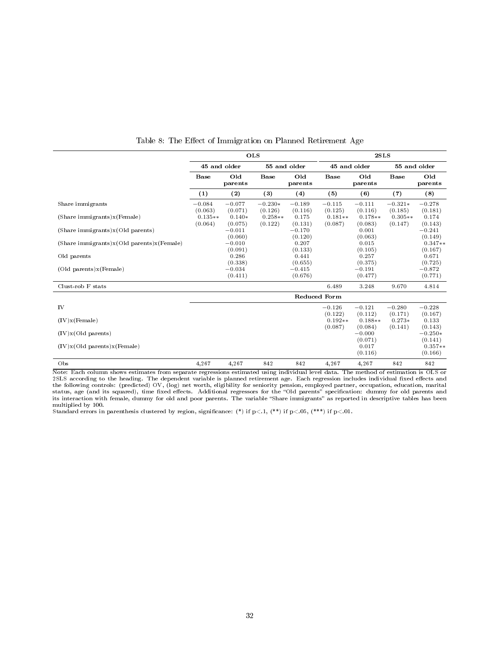|                                             |                      |                     | <b>OLS</b>           |                     | 2SLS                 |                             |                      |                                 |  |
|---------------------------------------------|----------------------|---------------------|----------------------|---------------------|----------------------|-----------------------------|----------------------|---------------------------------|--|
|                                             |                      | 45 and older        |                      | 55 and older        | 45 and older         |                             | 55 and older         |                                 |  |
|                                             | <b>Base</b>          | Old<br>parents      | <b>Base</b>          | Old<br>parents      | <b>Base</b>          | Old<br>parents              | <b>Base</b>          | Old<br>parents                  |  |
|                                             | (1)                  | (2)                 | $\left(3\right)$     | (4)                 | (5)                  | (6)                         | (7)                  | (8)                             |  |
| Share immigrants                            | $-0.084$<br>(0.063)  | $-0.077$<br>(0.071) | $-0.230*$<br>(0.126) | $-0.189$<br>(0.116) | $-0.115$<br>(0.125)  | $-0.111$<br>(0.116)         | $-0.321*$<br>(0.185) | $-0.278$<br>(0.181)             |  |
| (Share immigrants)x (Female)                | $0.135**$<br>(0.064) | $0.140*$<br>(0.075) | $0.258**$<br>(0.122) | 0.175<br>(0.131)    | $0.181**$<br>(0.087) | $0.178**$<br>(0.083)        | $0.305**$<br>(0.147) | 0.174<br>(0.143)                |  |
| (Share immigrants)x (Old parents)           |                      | $-0.011$<br>(0.060) |                      | $-0.170$<br>(0.120) |                      | 0.001<br>(0.063)            |                      | $-0.241$<br>(0.149)             |  |
| (Share immigrants)x (Old parents)x (Female) |                      | $-0.010$<br>(0.091) |                      | 0.207<br>(0.133)    |                      | 0.015<br>(0.105)            |                      | $0.347**$<br>(0.167)            |  |
| Old parents                                 |                      | 0.286<br>(0.338)    |                      | 0.441<br>(0.655)    |                      | 0.257<br>(0.375)            |                      | 0.671<br>(0.725)                |  |
| (Old parents)x(Female)                      |                      | $-0.034$<br>(0.411) |                      | $-0.415$<br>(0.676) |                      | $-0.191$<br>(0.477)         |                      | $-0.872$<br>(0.771)             |  |
| Clust-rob F stats                           |                      |                     |                      |                     | 6.489                | 3.248                       | 9.670                | 4.814                           |  |
|                                             |                      |                     |                      |                     | <b>Reduced Form</b>  |                             |                      |                                 |  |
| IV                                          |                      |                     |                      |                     | $-0.126$<br>(0.122)  | $-0.121$<br>(0.112)         | $-0.280$<br>(0.171)  | $-0.228$<br>(0.167)             |  |
| (IV)x(Female)                               |                      |                     |                      |                     | $0.192**$<br>(0.087) | $0.188**$<br>(0.084)        | $0.273*$<br>(0.141)  | 0.133                           |  |
| (IV)x(Old parents)                          |                      |                     |                      |                     |                      | $-0.000$                    |                      | (0.143)<br>$-0.250*$            |  |
| (IV)x(Old parents)x(Female)                 |                      |                     |                      |                     |                      | (0.071)<br>0.017<br>(0.116) |                      | (0.141)<br>$0.357**$<br>(0.166) |  |
| Obs                                         | 4,267                | 4,267               | 842                  | 842                 | 4,267                | 4,267                       | 842                  | 842                             |  |

Table 8: The Effect of Immigration on Planned Retirement Age

Note: Each column shows estimates from separate regressions estimated using individual level data. The method of estimation is OLS or 2SLS according to the heading. The dependent variable is planned retirement age. Each regression includes individual fixed effects and the following controls: (predicted) OV, (log) net worth, eligibility for seniority pension, employed partner, occupation, education, marital<br>status, age (and its squared), time fixed effects. Additional regressors for the multiplied by 100.

Standard errors in parenthesis clustered by region, significance: (\*) if  $p<.1$ , (\*\*) if  $p<.05$ , (\*\*\*) if  $p<.01$ .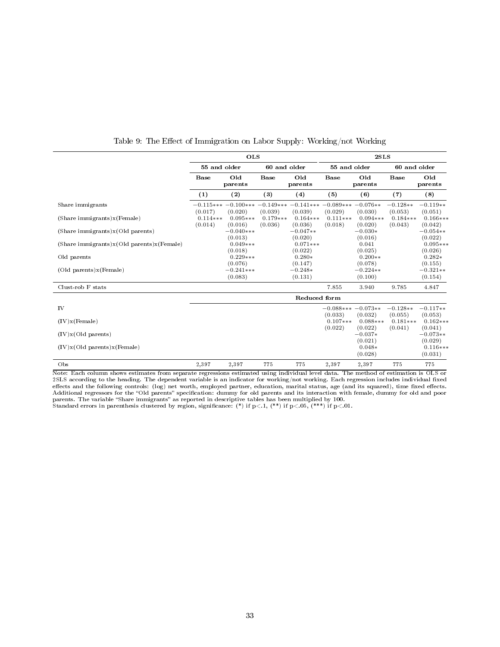|                                           |                       | <b>OLS</b>                                                         |                       |                       | 2SLS                           |                                |                       |                                  |  |
|-------------------------------------------|-----------------------|--------------------------------------------------------------------|-----------------------|-----------------------|--------------------------------|--------------------------------|-----------------------|----------------------------------|--|
|                                           | 55 and older          |                                                                    | 60 and older          |                       | 55 and older                   |                                | 60 and older          |                                  |  |
|                                           | <b>Base</b>           | Old<br>parents                                                     | <b>Base</b>           | Old<br>parents        | Base                           | Old<br>parents                 | Base                  | Old<br>parents                   |  |
|                                           | (1)                   | (2)                                                                | (3)                   | (4)                   | (5)                            | (6)                            | (7)                   | (8)                              |  |
| Share immigrants                          | (0.017)               | $-0.115***-0.100***-0.149***-0.141***-0.089***-0.076**$<br>(0.020) | (0.039)               | (0.039)               | (0.029)                        | (0.030)                        | $-0.128**$<br>(0.053) | $-0.119**$<br>(0.051)            |  |
| (Share immigrants)x(Female)               | $0.114***$<br>(0.014) | $0.095***$<br>(0.016)                                              | $0.179***$<br>(0.036) | $0.164***$<br>(0.036) | $0.111***$<br>(0.018)          | $0.094***$<br>(0.020)          | $0.184***$<br>(0.043) | $0.166***$<br>(0.042)            |  |
| (Share immigrants)x(Old parents)          |                       | $-0.040***$<br>(0.013)                                             |                       | $-0.047**$<br>(0.020) |                                | $-0.030*$<br>(0.016)           |                       | $-0.054**$<br>(0.022)            |  |
| (Share immigrants)x(Old parents)x(Female) |                       | $0.049***$<br>(0.018)                                              |                       | $0.071***$<br>(0.022) |                                | 0.041<br>(0.025)               |                       | $0.095***$<br>(0.026)            |  |
| Old parents                               |                       | $0.229***$<br>(0.076)                                              |                       | $0.280*$<br>(0.147)   |                                | $0.200**$<br>(0.078)           |                       | $0.282*$<br>(0.155)              |  |
| (Old parents)x(Female)                    |                       | $-0.241***$<br>(0.083)                                             |                       | $-0.248*$<br>(0.131)  |                                | $-0.224**$<br>(0.100)          |                       | $-0.321**$<br>(0.154)            |  |
| Clust-rob F stats                         |                       |                                                                    |                       |                       | 7.855                          | 3.940                          | 9.785                 | 4.847                            |  |
|                                           |                       |                                                                    |                       | Reduced form          |                                |                                |                       |                                  |  |
| IV                                        |                       |                                                                    |                       |                       | $-0.088***-0.073**$<br>(0.033) | (0.032)                        | $-0.128**$<br>(0.055) | $-0.117**$<br>(0.053)            |  |
| (IV)x(Female)                             |                       |                                                                    |                       |                       | $0.107***$                     | $0.088***$                     | $0.181***$            | $0.162***$                       |  |
| (IV)x(Old parents)                        |                       |                                                                    |                       |                       | (0.022)                        | (0.022)<br>$-0.037*$           | (0.041)               | (0.041)<br>$-0.073**$            |  |
| (IV)x(Old parents)x(Female)               |                       |                                                                    |                       |                       |                                | (0.021)<br>$0.048*$<br>(0.028) |                       | (0.029)<br>$0.116***$<br>(0.031) |  |
| Obs                                       | 2,397                 | 2,397                                                              | 775                   | 775                   | 2,397                          | 2,397                          | 775                   | 775                              |  |

Table 9: The Effect of Immigration on Labor Supply: Working/not Working

Note: Each column shows estimates from separate regressions estimated using individual level data. The method of estimation is OLS or 2SLS according to the heading. The dependent variable is an indicator for working/not working. Each regression includes individual fixed effects and the following controls: (log) net worth, employed partner, education, marital status, age (and its squared), time fixed effects.<br>Additional regressors for the "Old parents" specification: dummy for old parents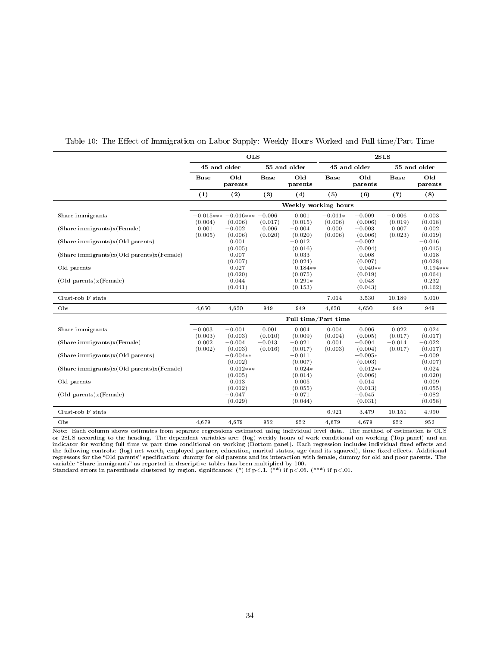|                                                          |                     | <b>OLS</b>                              |                     |                                | 2SLS                 |                                |                     |                                |  |
|----------------------------------------------------------|---------------------|-----------------------------------------|---------------------|--------------------------------|----------------------|--------------------------------|---------------------|--------------------------------|--|
|                                                          |                     | 45 and older                            |                     | 55 and older                   |                      | 45 and older                   |                     | 55 and older                   |  |
|                                                          | <b>Base</b>         | Old<br>parents                          | <b>Base</b>         | Old<br>parents                 | <b>Base</b>          | Old<br>parents                 | <b>Base</b>         | Old<br>parents                 |  |
|                                                          | (1)                 | $\left( 2\right)$                       | (3)                 | (4)                            | (5)                  | (6)                            | (7)                 | (8)                            |  |
|                                                          |                     |                                         |                     | Weekly working hours           |                      |                                |                     |                                |  |
| Share immigrants                                         | (0.004)             | $-0.015*** -0.016*** -0.006$<br>(0.006) | (0.017)             | 0.001<br>(0.015)               | $-0.011*$<br>(0.006) | $-0.009$<br>(0.006)            | $-0.006$<br>(0.019) | 0.003<br>(0.018)               |  |
| $(Share\text{ }immigrams)x(Female)$                      | 0.001<br>(0.005)    | $-0.002$                                | 0.006               | $-0.004$                       | 0.000                | $-0.003$                       | 0.007               | 0.002                          |  |
| $(Share\text{ }immigrams)x(Old\text{ }parents)$          |                     | (0.006)<br>0.001                        | (0.020)             | (0.020)<br>$-0.012$            | (0.006)              | (0.006)<br>$-0.002$            | (0.023)             | (0.019)<br>$-0.016$            |  |
| $(Share\ immigrants)x(Old parents)x(Female)$             |                     | (0.005)<br>0.007<br>(0.007)             |                     | (0.016)<br>0.033<br>(0.024)    |                      | (0.004)<br>0.008<br>(0.007)    |                     | (0.015)<br>0.018<br>(0.028)    |  |
| Old parents                                              |                     | 0.027<br>(0.020)                        |                     | $0.184**$<br>(0.075)           |                      | $0.040**$<br>(0.019)           |                     | $0.194***$<br>(0.064)          |  |
| (Old parents)x (Female)                                  |                     | $-0.044$<br>(0.041)                     |                     | $-0.291*$<br>(0.153)           |                      | $-0.048$<br>(0.043)            |                     | $-0.232$<br>(0.162)            |  |
| Clust-rob F stats                                        |                     |                                         |                     |                                | 7.014                | 3.530                          | 10.189              | 5.010                          |  |
| Obs                                                      | 4.650               | 4.650                                   | 949                 | 949                            | 4.650                | 4,650                          | 949                 | 949                            |  |
|                                                          |                     |                                         |                     | Full time/Part time            |                      |                                |                     |                                |  |
| Share immigrants                                         | $-0.003$<br>(0.003) | $-0.001$<br>(0.003)                     | 0.001<br>(0.010)    | 0.004<br>(0.009)               | 0.004<br>(0.004)     | 0.006<br>(0.005)               | 0.022<br>(0.017)    | 0.024<br>(0.017)               |  |
| $(Share\text{ }immigrams)x(Female)$                      | 0.002<br>(0.002)    | $-0.004$<br>(0.003)                     | $-0.013$<br>(0.016) | $-0.021$<br>(0.017)            | 0.001<br>(0.003)     | $-0.004$<br>(0.004)            | $-0.014$<br>(0.017) | $-0.022$<br>(0.017)            |  |
| (Share immigrants)x (Old parents)                        |                     | $-0.004**$<br>(0.002)                   |                     | $-0.011$<br>(0.007)            |                      | $-0.005*$<br>(0.003)           |                     | $-0.009$<br>(0.007)            |  |
| $(Share\text{ }immigrams)x(OId\text{ }parents)x(Female)$ |                     | $0.012***$<br>(0.005)                   |                     | $0.024*$<br>(0.014)            |                      | $0.012**$<br>(0.006)           |                     | 0.024<br>(0.020)               |  |
| Old parents                                              |                     | 0.013                                   |                     | $-0.005$                       |                      | 0.014                          |                     | $-0.009$                       |  |
| $(Old parents)x$ (Female)                                |                     | (0.012)<br>$-0.047$<br>(0.029)          |                     | (0.055)<br>$-0.071$<br>(0.044) |                      | (0.013)<br>$-0.045$<br>(0.031) |                     | (0.055)<br>$-0.082$<br>(0.058) |  |
| Clust-rob F stats                                        |                     |                                         |                     |                                | 6.921                | 3.479                          | 10.151              | 4.990                          |  |
| Obs                                                      | 4,679               | 4,679                                   | 952                 | 952                            | 4,679                | 4,679                          | 952                 | 952                            |  |

Table 10: The Effect of Immigration on Labor Supply: Weekly Hours Worked and Full time/Part Time

Note: Each column shows estimates from separate regressions estimated using individual level data. The method of estimation is OLS or 2SLS according to the heading. The dependent variables are: (log) weekly hours of work conditional on working (Top panel) and an indicator for working full-time vs part-time conditional on working (Bottom panel). Each regression includes individual fixed effects and the following controls: (log) net worth, employed partner, education, marital status, age (and its squared), time fixed effects. Additional regressors for the "Old parents" specification: dummy for old parents and its interaction with female, dummy for old and poor parents. The variable "Share immigrants" as reported in descriptive tables has been multiplied by 100.

Standard errors in parenthesis clustered by region, significance: (\*) if  $p<.1$ , (\*\*) if  $p<.05$ , (\*\*\*) if  $p<.01$ .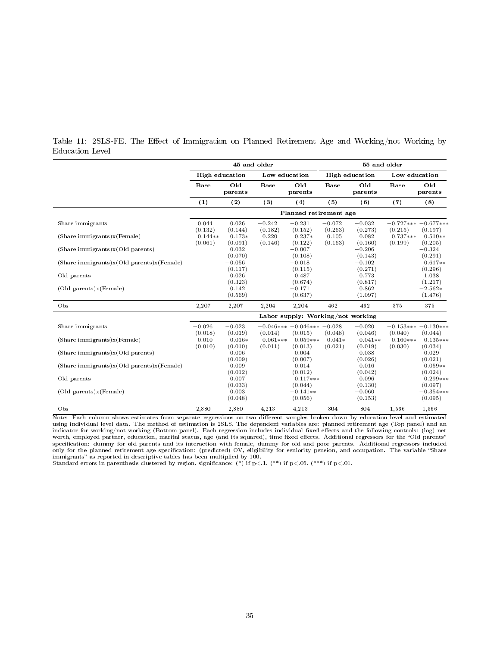|                                                 |                      |                     | 45 and older          |                                         | 55 and older        |                      |                       |                                    |  |
|-------------------------------------------------|----------------------|---------------------|-----------------------|-----------------------------------------|---------------------|----------------------|-----------------------|------------------------------------|--|
|                                                 |                      | High education      | Low education         |                                         |                     | High education       | Low education         |                                    |  |
|                                                 | <b>Base</b>          | Old<br>parents      | <b>Base</b>           | Old<br>parents                          | <b>Base</b>         | Old<br>parents       | <b>Base</b>           | Old<br>parents                     |  |
|                                                 | (1)                  | (2)                 | $\left(3\right)$      | (4)                                     | (5)                 | (6)                  | (7)                   | (8)                                |  |
|                                                 |                      |                     |                       | Planned retirement age                  |                     |                      |                       |                                    |  |
| Share immigrants                                | 0.044<br>(0.132)     | 0.026<br>(0.144)    | $-0.242$<br>(0.182)   | $-0.231$<br>(0.152)                     | $-0.072$<br>(0.263) | $-0.032$<br>(0.273)  | (0.215)               | $-0.727***$ $-0.677***$<br>(0.197) |  |
| $(Share\text{ }immigrams)x(Female)$             | $0.144**$<br>(0.061) | $0.173*$<br>(0.091) | 0.220<br>(0.146)      | $0.237*$<br>(0.122)                     | 0.105<br>(0.163)    | 0.082<br>(0.160)     | $0.737***$<br>(0.199) | $0.510**$<br>(0.205)               |  |
| $(Share\text{ }immigrams)x(Old\text{ }parents)$ |                      | 0.032<br>(0.070)    |                       | $-0.007$<br>(0.108)                     |                     | $-0.206$<br>(0.143)  |                       | $-0.324$<br>(0.291)                |  |
| $(Share\ immigrants)x(Old parents)x(Female)$    |                      | $-0.056$<br>(0.117) |                       | $-0.018$<br>(0.115)                     |                     | $-0.102$<br>(0.271)  |                       | $0.617**$<br>(0.296)               |  |
| Old parents                                     |                      | 0.026<br>(0.323)    |                       | 0.487<br>(0.674)                        |                     | 0.773<br>(0.817)     |                       | 1.038<br>(1.217)                   |  |
| (Old parents)x (Female)                         |                      | 0.142<br>(0.569)    |                       | $-0.171$<br>(0.637)                     |                     | 0.862<br>(1.097)     |                       | $-2.562*$<br>(1.476)               |  |
| Obs                                             | 2,207                | 2,207               | 2,204                 | 2,204                                   | 462                 | 462                  | 375                   | 375                                |  |
|                                                 |                      |                     |                       | Labor supply: Working/not working       |                     |                      |                       |                                    |  |
| Share immigrants                                | $-0.026$<br>(0.018)  | $-0.023$<br>(0.019) | (0.014)               | $-0.046*** -0.046*** -0.028$<br>(0.015) | (0.048)             | $-0.020$<br>(0.046)  | (0.040)               | $-0.153***-0.130***$<br>(0.044)    |  |
| $(Share\text{ }immigrams)x(Female)$             | 0.010<br>(0.010)     | $0.016*$<br>(0.010) | $0.061***$<br>(0.011) | $0.059***$<br>(0.013)                   | $0.041*$<br>(0.021) | $0.041**$<br>(0.019) | $0.160***$<br>(0.030) | $0.135***$<br>(0.034)              |  |
| (Share immigrants)x (Old parents)               |                      | $-0.006$<br>(0.009) |                       | $-0.004$<br>(0.007)                     |                     | $-0.038$<br>(0.026)  |                       | $-0.029$<br>(0.021)                |  |
| $(Share\ immigrants)x(Old parents)x(Female)$    |                      | $-0.009$<br>(0.012) |                       | 0.014<br>(0.012)                        |                     | $-0.016$<br>(0.042)  |                       | $0.059**$<br>(0.024)               |  |
| Old parents                                     |                      | 0.007<br>(0.033)    |                       | $0.117***$<br>(0.044)                   |                     | 0.096<br>(0.130)     |                       | $0.299***$<br>(0.097)              |  |
| $(Old$ parents) $x$ (Female)                    |                      | 0.003<br>(0.048)    |                       | $-0.141**$<br>(0.056)                   |                     | $-0.060$<br>(0.153)  |                       | $-0.354***$<br>(0.095)             |  |
| Obs                                             | 2.880                | 2,880               | 4.213                 | 4,213                                   | 804                 | 804                  | 1,566                 | 1,566                              |  |

Table 11: 2SLS-FE. The Effect of Immigration on Planned Retirement Age and Working/not Working by Education Level

Note: Each column shows estimates from separate regressions on two different samples broken down by education level and estimated using individual level data. The method of estimation is 2SLS. The dependent variables are: planned retirement age (Top panel) and an indicator for working/not working (Bottom panel). Each regression includes individual fixed effects and the following controls: (log) net worth, employed partner, education, marital status, age (and its squared), time fixed effects. Additional regressors for the "Old parents"<br>specification: dummy for old parents and its interaction with female, dummy for old only for the planned retirement age specification: (predicted) OV, eligibility for seniority pension, and occupation. The variable "Share

immigrants" as reported in descriptive tables has been multiplied by 100.<br>Standard errors in parenthesis clustered by region, significance: (\*) if p<.1, (\*\*) if p<.05, (\*\*\*) if p<.01.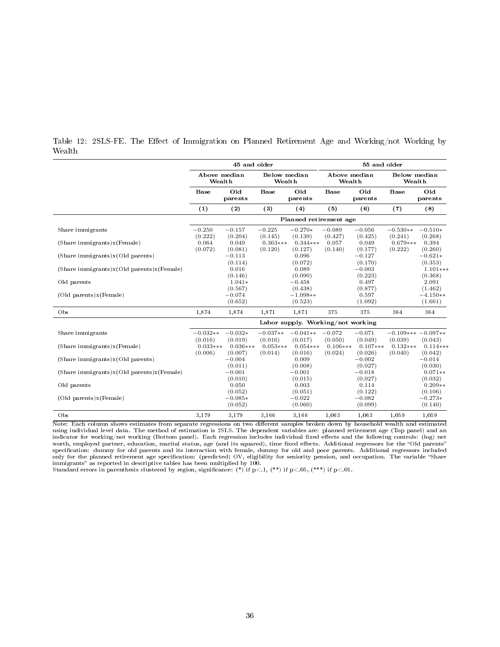|        |  |  |  |  |  | Table 12: 2SLS-FE. The Effect of Immigration on Planned Retirement Age and Working/not Working by |  |
|--------|--|--|--|--|--|---------------------------------------------------------------------------------------------------|--|
| Wealth |  |  |  |  |  |                                                                                                   |  |

|                                                          | 45 and older                      |                       |                        |                       | 55 and older           |                       |                                |                       |
|----------------------------------------------------------|-----------------------------------|-----------------------|------------------------|-----------------------|------------------------|-----------------------|--------------------------------|-----------------------|
|                                                          | Above median<br>Wealth            |                       | Below median<br>Wealth |                       | Above median<br>Wealth |                       | <b>Below</b> median<br>Wealth  |                       |
|                                                          | <b>Base</b>                       | Old<br>parents        | <b>Base</b>            | Old<br>parents        | <b>Base</b>            | Old<br>parents        | <b>Base</b>                    | Old<br>parents        |
|                                                          | (1)                               | (2)                   | (3)                    | (4)                   | (5)                    | (6)                   | (7)                            | (8)                   |
|                                                          | Planned retirement age            |                       |                        |                       |                        |                       |                                |                       |
| Share immigrants                                         | $-0.250$<br>(0.222)               | $-0.157$<br>(0.204)   | $-0.225$<br>(0.145)    | $-0.270*$<br>(0.139)  | $-0.089$<br>(0.427)    | $-0.056$<br>(0.425)   | $-0.530**$<br>(0.241)          | $-0.510*$<br>(0.268)  |
| $(Share\text{ }immigrants)x(Female)$                     | 0.064<br>(0.072)                  | 0.049<br>(0.081)      | $0.363***$<br>(0.120)  | $0.344***$<br>(0.127) | 0.057<br>(0.140)       | 0.049<br>(0.177)      | $0.679***$<br>(0.222)          | 0.394<br>(0.260)      |
| (Share immigrants)x (Old parents)                        |                                   | $-0.113$<br>(0.114)   |                        | 0.096<br>(0.072)      |                        | $-0.127$<br>(0.170)   |                                | $-0.621*$<br>(0.353)  |
| $(Share\text{ }immigrams)x(OId\text{ }parents)x(Female)$ |                                   | 0.016<br>(0.146)      |                        | 0.089<br>(0.090)      |                        | $-0.003$<br>(0.223)   |                                | $1.101***$<br>(0.368) |
| Old parents                                              |                                   | $1.041*$<br>(0.567)   |                        | $-0.458$<br>(0.438)   |                        | 0.497<br>(0.877)      |                                | 2.091<br>(1.462)      |
| (Old parents)x (Female)                                  |                                   | $-0.074$<br>(0.652)   |                        | $-1.098**$<br>(0.523) |                        | 0.597<br>(1.092)      |                                | $-4.150**$<br>(1.661) |
| Obs                                                      | 1,874                             | 1,874                 | 1,871                  | 1,871                 | 375                    | 375                   | 364                            | 364                   |
|                                                          | Labor supply. Working/not working |                       |                        |                       |                        |                       |                                |                       |
| Share immigrants                                         | $-0.032**$<br>(0.016)             | $-0.032*$<br>(0.019)  | $-0.037**$<br>(0.016)  | $-0.041**$<br>(0.017) | $-0.072$<br>(0.050)    | $-0.071$<br>(0.049)   | $-0.109***-0.097**$<br>(0.039) | (0.043)               |
| (Share immigrants)x (Female)                             | $0.033***$<br>(0.006)             | $0.036***$<br>(0.007) | $0.053***$<br>(0.014)  | $0.054***$<br>(0.016) | $0.106***$<br>(0.024)  | $0.107***$<br>(0.026) | $0.132***$<br>(0.040)          | $0.114***$<br>(0.042) |
| (Share immigrants)x (Old parents)                        |                                   | $-0.004$<br>(0.011)   |                        | 0.009<br>(0.008)      |                        | $-0.002$<br>(0.027)   |                                | $-0.014$<br>(0.030)   |
| $(Share\text{ }immigrams)x(OId\text{ }parents)x(Female)$ |                                   | $-0.001$<br>(0.010)   |                        | $-0.001$<br>(0.015)   |                        | $-0.018$<br>(0.027)   |                                | $0.071**$<br>(0.032)  |
| Old parents                                              |                                   | 0.050<br>(0.052)      |                        | 0.003<br>(0.051)      |                        | 0.114<br>(0.122)      |                                | $0.209**$<br>(0.106)  |
| (Old parents)x(Female)                                   |                                   | $-0.085*$<br>(0.052)  |                        | $-0.022$<br>(0.060)   |                        | $-0.082$<br>(0.099)   |                                | $-0.273*$<br>(0.140)  |
| Obs                                                      | 3,179                             | 3,179                 | 3.166                  | 3.166                 | 1,063                  | 1,063                 | 1.059                          | 1,059                 |

Note: Each column shows estimates from separate regressions on two different samples broken down by household wealth and estimated using individual level data. The method of estimation is 2SLS. The dependent variables are: planned retirement age (Top panel) and an indicator for working/not working (Bottom panel). Each regression includes individual fixed effects and the following controls: (log) net<br>worth, employed partner, education, marital status, age (and its squared), time fixe specification: dummy for old parents and its interaction with female, dummy for old and poor parents. Additional regressors included only for the planned retirement age specification: (predicted) OV, eligibility for seniority pension, and occupation. The variable "Share<br>immigrants" as reported in descriptive tables has been multiplied by 100.

Standard errors in parenthesis clustered by region, significance: (\*) if  $p<.1$ , (\*\*) if  $p<.05$ , (\*\*\*) if  $p<.01$ .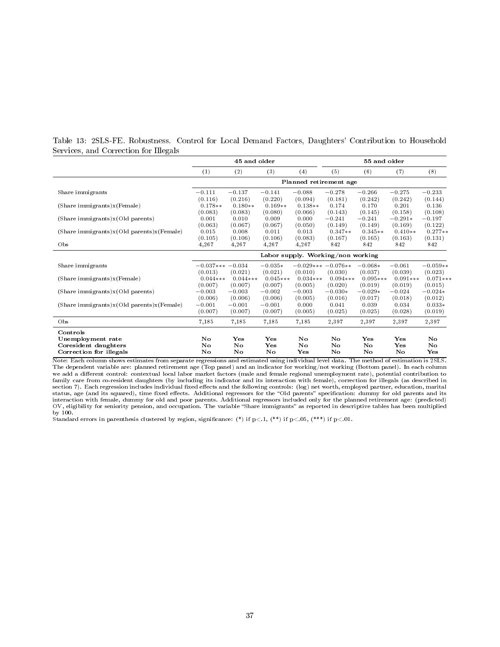|  |                                       |  |  | Table 13: 2SLS-FE. Robustness. Control for Local Demand Factors, Daughters' Contribution to Household |  |
|--|---------------------------------------|--|--|-------------------------------------------------------------------------------------------------------|--|
|  | Services, and Correction for Illegals |  |  |                                                                                                       |  |

|                                                                      | 45 and older                      |                                  |                                  |                                  | 55 and older                     |                                  |                                  |                                |
|----------------------------------------------------------------------|-----------------------------------|----------------------------------|----------------------------------|----------------------------------|----------------------------------|----------------------------------|----------------------------------|--------------------------------|
|                                                                      | (1)                               | (2)                              | (3)                              | (4)                              | (5)                              | (6)                              | (7)                              | (8)                            |
|                                                                      | Planned retirement age            |                                  |                                  |                                  |                                  |                                  |                                  |                                |
| Share immigrants                                                     | $-0.111$                          | $-0.137$                         | $-0.141$                         | $-0.088$                         | $-0.278$                         | $-0.266$                         | $-0.275$                         | $-0.233$                       |
| (Share immigrants)x (Female)                                         | (0.116)<br>$0.178**$              | (0.216)<br>$0.180**$             | (0.220)<br>$0.169**$             | (0.094)<br>$0.138**$             | (0.181)<br>0.174                 | (0.242)<br>0.170                 | (0.242)<br>0.201                 | (0.144)<br>0.136               |
| (Share immigrants)x (Old parents)                                    | (0.083)<br>0.001                  | (0.083)<br>0.010                 | (0.080)<br>0.009                 | (0.066)<br>0.000                 | (0.143)<br>$-0.241$              | (0.145)<br>$-0.241$              | (0.158)<br>$-0.291*$             | (0.108)<br>$-0.197$            |
|                                                                      | (0.063)                           | (0.067)                          | (0.067)                          | (0.050)                          | (0.149)                          | (0.149)                          | (0.169)                          | (0.122)                        |
| (Share immigrants)x (Old parents)x (Female)                          | 0.015<br>(0.105)                  | 0.008<br>(0.106)                 | 0.011<br>(0.106)                 | 0.013<br>(0.083)                 | $0.347**$<br>(0.167)             | $0.345**$<br>(0.165)             | $0.410**$<br>(0.163)             | $0.277**$<br>(0.131)           |
| Obs                                                                  | 4,267                             | 4,267                            | 4,267                            | 4,267                            | 842                              | 842                              | 842                              | 842                            |
|                                                                      | Labor supply. Working/non working |                                  |                                  |                                  |                                  |                                  |                                  |                                |
| Share immigrants                                                     | $-0.037*** -0.034$                |                                  | $-0.035*$                        |                                  | $-0.029***-0.076**$              | $-0.068*$                        | $-0.061$                         | $-0.059**$                     |
| (Share immigrants)x (Female)                                         | (0.013)<br>$0.044***$<br>(0.007)  | (0.021)<br>$0.044***$<br>(0.007) | (0.021)<br>$0.045***$<br>(0.007) | (0.010)<br>$0.034***$<br>(0.005) | (0.030)<br>$0.094***$<br>(0.020) | (0.037)<br>$0.095***$<br>(0.019) | (0.039)<br>$0.091***$<br>(0.019) | (0.023)<br>$0.071***$          |
| (Share immigrants)x (Old parents)                                    | $-0.003$                          | $-0.003$                         | $-0.002$                         | $-0.003$                         | $-0.030*$                        | $-0.029*$                        | $-0.024$                         | (0.015)<br>$-0.024*$           |
| (Share immigrants)x(Old parents)x(Female)                            | (0.006)<br>$-0.001$<br>(0.007)    | (0.006)<br>$-0.001$<br>(0.007)   | (0.006)<br>$-0.001$<br>(0.007)   | (0.005)<br>0.000<br>(0.005)      | (0.016)<br>0.041<br>(0.025)      | (0.017)<br>0.039<br>(0.025)      | (0.018)<br>0.034<br>(0.028)      | (0.012)<br>$0.033*$<br>(0.019) |
| Obs                                                                  | 7,185                             | 7,185                            | 7,185                            | 7,185                            | 2,397                            | 2,397                            | 2,397                            | 2,397                          |
| Controls                                                             |                                   |                                  |                                  |                                  |                                  |                                  |                                  |                                |
| Unemployment rate<br>Coresident daughters<br>Correction for illegals | No.<br>No<br>No                   | Yes<br>No<br>No                  | Yes<br>Yes<br>No                 | No<br>No<br>$\mathbf{Yes}$       | No<br>No.<br>No                  | Yes<br>No<br>No                  | Yes<br>$\mathbf{Yes}$<br>No      | No.<br>No.<br>Yes              |

Note: Each column shows estimates from separate regressions and estimated using individual level data. The method of estimation is 2SLS. The dependent variable are: planned retirement age (Top panel) and an indicator for working/not working (Bottom panel). In each column<br>we add a different control: contextual local labor market factors (male and female regi family care from co-resident daughters (by including its indicator and its interaction with female), correction for illegals (as described in<br>section 7). Each regression includes individual fixed effects and the following interaction with female, dummy for old and poor parents. Additional regressors included only for the planned retirement age: (predicted)<br>OV, eligibility for seniority pension, and occupation. The variable "Share immigrants

Standard errors in parenthesis clustered by region, significance: (\*) if  $p<.1$ , (\*\*) if  $p<.05$ , (\*\*\*) if  $p<.01$ .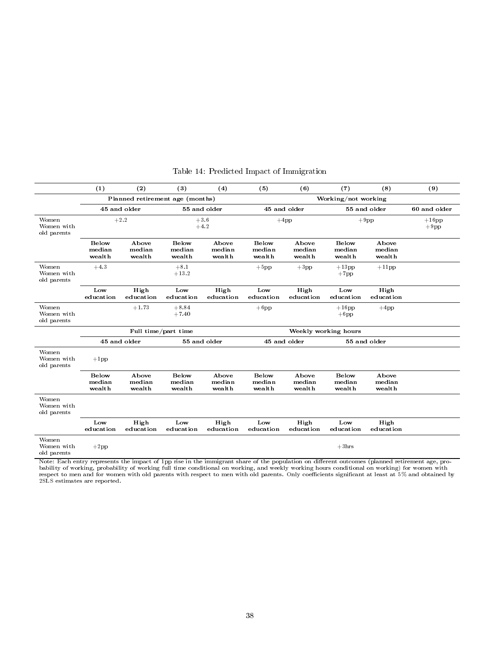|                                    | (1)                              | (2)                             | (3)                              | (4)                       | (5)                              | (6)                       | (7)                              | (8)                       | (9) |  |
|------------------------------------|----------------------------------|---------------------------------|----------------------------------|---------------------------|----------------------------------|---------------------------|----------------------------------|---------------------------|-----|--|
|                                    |                                  | Planned retirement age (months) |                                  |                           | Working/not working              |                           |                                  |                           |     |  |
|                                    | 45 and older<br>55 and older     |                                 |                                  |                           | 45 and older                     |                           | 55 and older                     | 60 and older              |     |  |
| Women<br>Women with<br>old parents | $+2.2$<br>$+3.6$<br>$+4.2$       |                                 |                                  | $+4pp$                    |                                  |                           | $+9$ pp                          |                           |     |  |
|                                    | <b>Below</b><br>median<br>wealth | Above<br>median<br>wealth       | <b>Below</b><br>median<br>wealth | Above<br>median<br>wealth | <b>Below</b><br>median<br>wealth | Above<br>median<br>wealth | <b>Below</b><br>median<br>wealth | Above<br>median<br>wealth |     |  |
| Women<br>Women with<br>old parents | $+4.3$                           |                                 | $+8.1$<br>$+13.2$                |                           | $+5$ pp                          | $+3$ pp                   | $+13$ pp<br>$+7$ pp              | $+11$ pp                  |     |  |
|                                    | Low<br>education                 | High<br>education               | Low<br>education                 | High<br>education         | Low<br>education                 | High<br>education         | Low<br>education                 | High<br>education         |     |  |
| Women<br>Women with<br>old parents |                                  | $+1.73$                         | $+8.84$<br>$+7.40$               |                           | $+6$ pp                          |                           | $+16$ pp<br>$+6$ pp              | $+4pp$                    |     |  |
|                                    |                                  |                                 | Full time/part time              |                           |                                  |                           |                                  |                           |     |  |
|                                    |                                  | 45 and older                    | 55 and older                     |                           | 45 and older                     |                           | 55 and older                     |                           |     |  |
| Women<br>Women with<br>old parents | $+1$ pp                          |                                 |                                  |                           |                                  |                           |                                  |                           |     |  |
|                                    | <b>Below</b><br>median<br>wealth | Above<br>median<br>wealth       | <b>Below</b><br>median<br>wealth | Above<br>median<br>wealth | <b>Below</b><br>median<br>wealth | Above<br>median<br>wealth | <b>Below</b><br>median<br>wealth | Above<br>median<br>wealth |     |  |
| Women<br>Women with<br>old parents |                                  |                                 |                                  |                           |                                  |                           |                                  |                           |     |  |
|                                    | Low<br>education                 | High<br>education               | Low<br>education                 | High<br>education         | Low<br>education                 | High<br>education         | Low<br>education                 | High<br>education         |     |  |
| Women<br>Women with<br>old parents | $+2pp$                           |                                 |                                  |                           |                                  |                           | $+3hrs$                          |                           |     |  |

### Table 14: Predicted Impact of Immigration

Note: Each entry represents the impact of 1pp rise in the immigrant share of the population on different outcomes (planned retirement age, probability of working, probability of working full time conditional on working, and weekly working hours conditional on working) for women with respect to men and for women with old parents with respect to men with old parents. Only coefficients significant at least at 5% and obtained by<br>2SLS estimates are reported.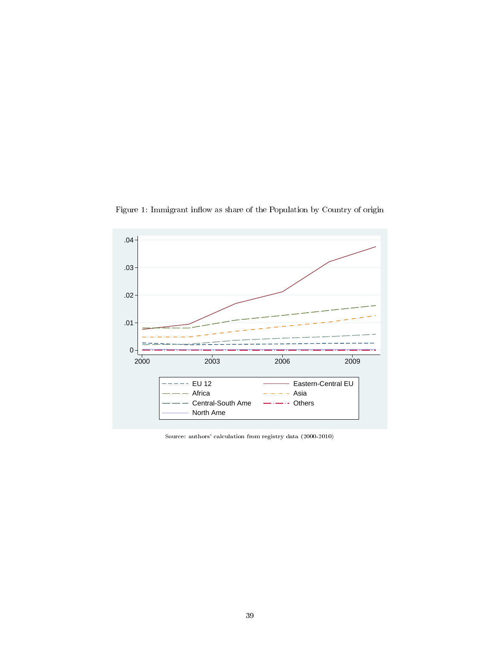

Figure 1: Immigrant inflow as share of the Population by Country of origin

Source: authors' calculation from registry data (2000-2010)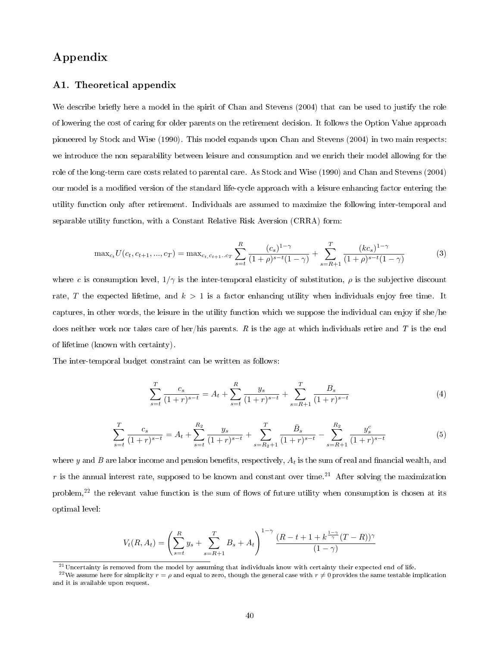# Appendix

### A1. Theoretical appendix

We describe briefly here a model in the spirit of Chan and Stevens (2004) that can be used to justify the role of lowering the cost of caring for older parents on the retirement decision. It follows the Option Value approach pioneered by Stock and Wise (1990). This model expands upon Chan and Stevens (2004) in two main respects: we introduce the non separability between leisure and consumption and we enrich their model allowing for the role of the long-term care costs related to parental care. As Stock and Wise (1990) and Chan and Stevens (2004) our model is a modied version of the standard life-cycle approach with a leisure enhancing factor entering the utility function only after retirement. Individuals are assumed to maximize the following inter-temporal and separable utility function, with a Constant Relative Risk Aversion (CRRA) form:

$$
\max_{c_t} U(c_t, c_{t+1}, ..., c_T) = \max_{c_t, c_{t+1}...c_T} \sum_{s=t}^R \frac{(c_s)^{1-\gamma}}{(1+\rho)^{s-t}(1-\gamma)} + \sum_{s=R+1}^T \frac{(kc_s)^{1-\gamma}}{(1+\rho)^{s-t}(1-\gamma)}
$$
(3)

where c is consumption level,  $1/\gamma$  is the inter-temporal elasticity of substitution,  $\rho$  is the subjective discount rate, T the expected lifetime, and  $k > 1$  is a factor enhancing utility when individuals enjoy free time. It captures, in other words, the leisure in the utility function which we suppose the individual can enjoy if she/he does neither work nor takes care of her/his parents. R is the age at which individuals retire and T is the end of lifetime (known with certainty).

The inter-temporal budget constraint can be written as follows:

$$
\sum_{s=t}^{T} \frac{c_s}{(1+r)^{s-t}} = A_t + \sum_{s=t}^{R} \frac{y_s}{(1+r)^{s-t}} + \sum_{s=R+1}^{T} \frac{B_s}{(1+r)^{s-t}}
$$
(4)

$$
\sum_{s=t}^{T} \frac{c_s}{(1+r)^{s-t}} = A_t + \sum_{s=t}^{R_2} \frac{y_s}{(1+r)^{s-t}} + \sum_{s=R_2+1}^{T} \frac{\bar{B}_s}{(1+r)^{s-t}} - \sum_{s=R+1}^{R_2} \frac{y_s^c}{(1+r)^{s-t}} \tag{5}
$$

where y and B are labor income and pension benefits, respectively,  $A_t$  is the sum of real and financial wealth, and r is the annual interest rate, supposed to be known and constant over time.<sup>21</sup> After solving the maximization problem,<sup>22</sup> the relevant value function is the sum of flows of future utility when consumption is chosen at its optimal level:

$$
V_t(R, A_t) = \left(\sum_{s=t}^R y_s + \sum_{s=R+1}^T B_s + A_t\right)^{1-\gamma} \frac{(R-t+1+k^{\frac{1-\gamma}{\gamma}}(T-R))^{\gamma}}{(1-\gamma)}
$$

 $21$ Uncertainty is removed from the model by assuming that individuals know with certainty their expected end of life.

<sup>&</sup>lt;sup>22</sup>We assume here for simplicity  $r = \rho$  and equal to zero, though the general case with  $r \neq 0$  provides the same testable implication and it is available upon request.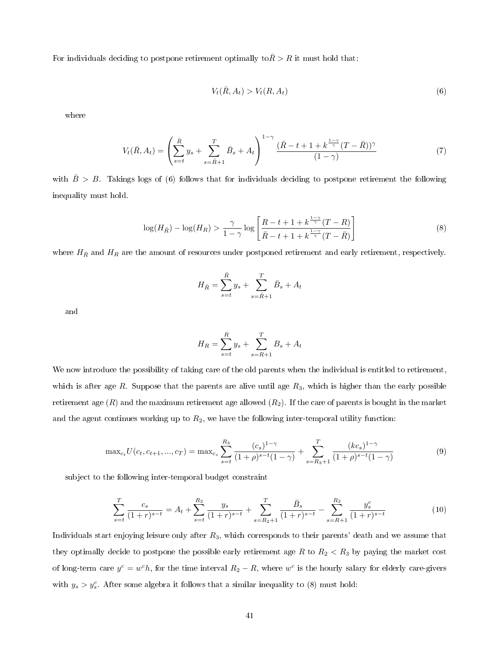For individuals deciding to postpone retirement optimally to  $\bar{R} > R$  it must hold that:

$$
V_t(\bar{R}, A_t) > V_t(R, A_t) \tag{6}
$$

where

$$
V_t(\bar{R}, A_t) = \left(\sum_{s=t}^{\bar{R}} y_s + \sum_{s=\bar{R}+1}^T \bar{B}_s + A_t\right)^{1-\gamma} \frac{(\bar{R}-t+1+k^{\frac{1-\gamma}{\gamma}}(T-\bar{R}))^{\gamma}}{(1-\gamma)}
$$
(7)

with  $\bar{B} > B$ . Takings logs of (6) follows that for individuals deciding to postpone retirement the following inequality must hold.

$$
\log(H_{\bar{R}}) - \log(H_R) > \frac{\gamma}{1-\gamma} \log \left[ \frac{R - t + 1 + k^{\frac{1-\gamma}{\gamma}} (T - R)}{\bar{R} - t + 1 + k^{\frac{1-\gamma}{\gamma}} (T - \bar{R})} \right]
$$
(8)

where  $H_{\bar{R}}$  and  $H_R$  are the amount of resources under postponed retirement and early retirement, respectively.

$$
H_{\bar{R}} = \sum_{s=t}^{\bar{R}} y_s + \sum_{s=\bar{R}+1}^{T} \bar{B}_s + A_t
$$

and

$$
H_R = \sum_{s=t}^{R} y_s + \sum_{s=R+1}^{T} B_s + A_t
$$

We now introduce the possibility of taking care of the old parents when the individual is entitled to retirement, which is after age  $R$ . Suppose that the parents are alive until age  $R_3$ , which is higher than the early possible retirement age  $(R)$  and the maximum retirement age allowed  $(R_2)$ . If the care of parents is bought in the market and the agent continues working up to  $R_2$ , we have the following inter-temporal utility function:

$$
\max_{c_t} U(c_t, c_{t+1}, ..., c_T) = \max_{c_s} \sum_{s=t}^{R_3} \frac{(c_s)^{1-\gamma}}{(1+\rho)^{s-t}(1-\gamma)} + \sum_{s=R_3+1}^T \frac{(kc_s)^{1-\gamma}}{(1+\rho)^{s-t}(1-\gamma)}
$$
(9)

subject to the following inter-temporal budget constraint

$$
\sum_{s=t}^{T} \frac{c_s}{(1+r)^{s-t}} = A_t + \sum_{s=t}^{R_2} \frac{y_s}{(1+r)^{s-t}} + \sum_{s=R_2+1}^{T} \frac{\bar{B}_s}{(1+r)^{s-t}} - \sum_{s=R+1}^{R_2} \frac{y_s^c}{(1+r)^{s-t}}
$$
(10)

Individuals start enjoying leisure only after  $R_3$ , which corresponds to their parents' death and we assume that they optimally decide to postpone the possible early retirement age R to  $R_2 < R_3$  by paying the market cost of long-term care  $y^c = w^c h$ , for the time interval  $R_2 - R$ , where  $w^c$  is the hourly salary for elderly care-givers with  $y_s > y_s^c$ . After some algebra it follows that a similar inequality to (8) must hold: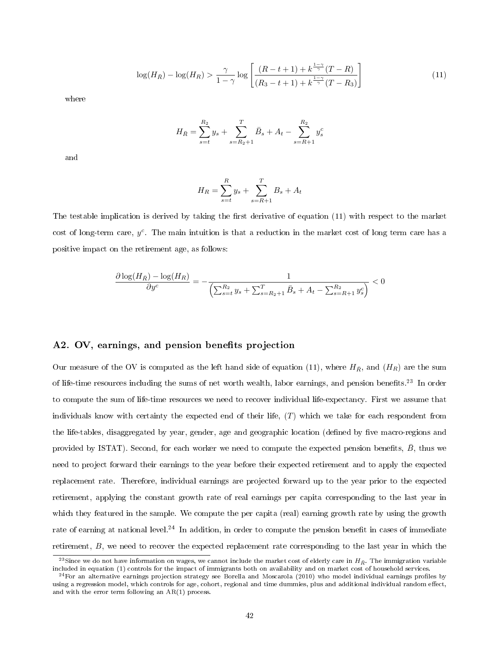$$
\log(H_{\bar{R}}) - \log(H_R) > \frac{\gamma}{1-\gamma} \log \left[ \frac{(R-t+1) + k^{\frac{1-\gamma}{\gamma}}(T-R)}{(R_3 - t + 1) + k^{\frac{1-\gamma}{\gamma}}(T-R_3)} \right]
$$
(11)

where

$$
H_{\bar{R}} = \sum_{s=t}^{R_2} y_s + \sum_{s=R_2+1}^{T} \bar{B}_s + A_t - \sum_{s=R+1}^{R_2} y_s^c
$$

and

$$
H_R = \sum_{s=t}^{R} y_s + \sum_{s=R+1}^{T} B_s + A_t
$$

The testable implication is derived by taking the first derivative of equation  $(11)$  with respect to the market cost of long-term care,  $y^c$ . The main intuition is that a reduction in the market cost of long term care has a positive impact on the retirement age, as follows:

$$
\frac{\partial \log(H_{\bar{R}}) - \log(H_R)}{\partial y^c} = -\frac{1}{\left(\sum_{s=t}^{R_2} y_s + \sum_{s=R_2+1}^T \bar{B}_s + A_t - \sum_{s=R+1}^{R_2} y_s^c\right)} < 0
$$

#### A2. OV, earnings, and pension benefits projection

Our measure of the OV is computed as the left hand side of equation (11), where  $H_{\bar{R}}$ , and  $(H_R)$  are the sum of life-time resources including the sums of net worth wealth, labor earnings, and pension benets.<sup>23</sup> In order to compute the sum of life-time resources we need to recover individual life-expectancy. First we assume that individuals know with certainty the expected end of their life,  $(T)$  which we take for each respondent from the life-tables, disaggregated by year, gender, age and geographic location (defined by five macro-regions and provided by ISTAT). Second, for each worker we need to compute the expected pension benefits,  $\bar{B}$ , thus we need to project forward their earnings to the year before their expected retirement and to apply the expected replacement rate. Therefore, individual earnings are projected forward up to the year prior to the expected retirement, applying the constant growth rate of real earnings per capita corresponding to the last year in which they featured in the sample. We compute the per capita (real) earning growth rate by using the growth rate of earning at national level.<sup>24</sup> In addition, in order to compute the pension benefit in cases of immediate retirement, B, we need to recover the expected replacement rate corresponding to the last year in which the

<sup>&</sup>lt;sup>23</sup>Since we do not have information on wages, we cannot include the market cost of elderly care in  $H_{\bar{R}}$ . The immigration variable included in equation (1) controls for the impact of immigrants both on availability and on market cost of household services.

 $^{24}$  For an alternative earnings projection strategy see Borella and Moscarola (2010) who model individual earnings profiles by using a regression model, which controls for age, cohort, regional and time dummies, plus and additional individual random effect, and with the error term following an AR(1) process.